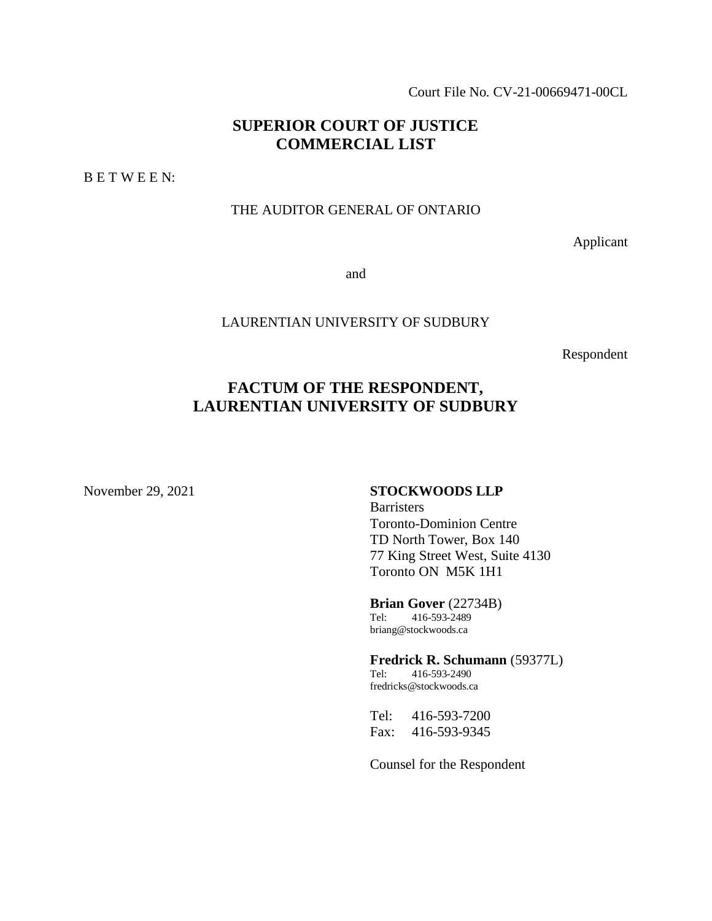Court File No. CV-21-00669471-00CL

# **SUPERIOR COURT OF JUSTICE COMMERCIAL LIST**

B E T W E E N:

#### THE AUDITOR GENERAL OF ONTARIO

Applicant

and

#### LAURENTIAN UNIVERSITY OF SUDBURY

Respondent

# **FACTUM OF THE RESPONDENT, LAURENTIAN UNIVERSITY OF SUDBURY**

#### November 29, 2021 **STOCKWOODS LLP**

**Barristers** Toronto-Dominion Centre TD North Tower, Box 140 77 King Street West, Suite 4130 Toronto ON M5K 1H1

**Brian Gover** (22734B) Tel: 416-593-2489 briang@stockwoods.ca

**Fredrick R. Schumann** (59377L) Tel: 416-593-2490 fredricks@stockwoods.ca

Tel: 416-593-7200 Fax: 416-593-9345

Counsel for the Respondent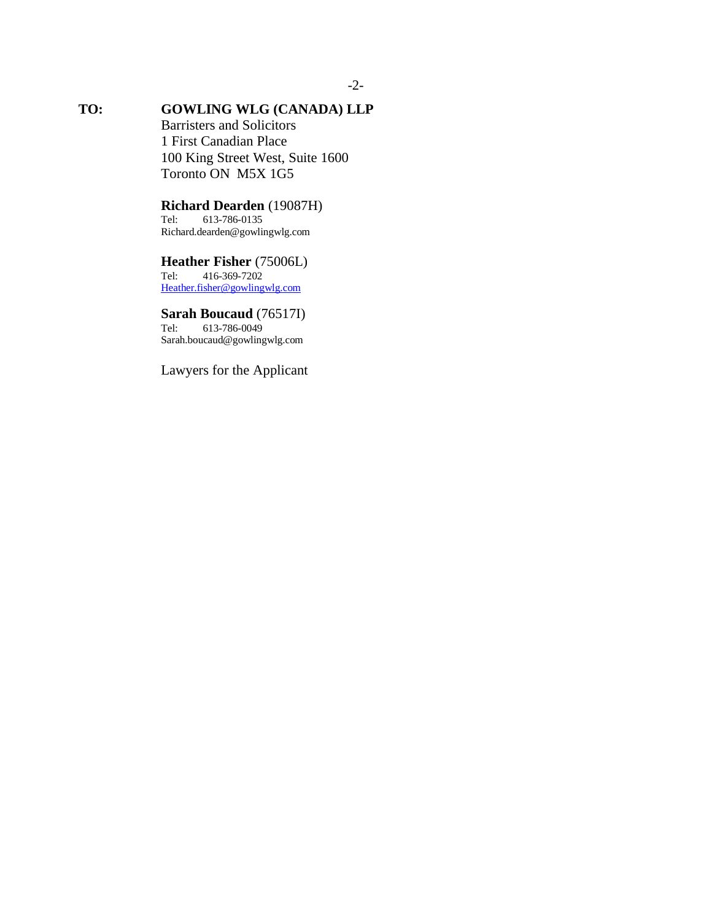# **TO: GOWLING WLG (CANADA) LLP**

Barristers and Solicitors 1 First Canadian Place 100 King Street West, Suite 1600 Toronto ON M5X 1G5

## **Richard Dearden** (19087H)

Tel: 613-786-0135 Richard.dearden@gowlingwlg.com

# **Heather Fisher** (75006L)<br>Tel: 416-369-7202

Tel: 416-369-7202 [Heather.fisher@gowlingwlg.com](mailto:Heather.fisher@gowlingwlg.com)

## **Sarah Boucaud** (76517I)

Tel: 613-786-0049 Sarah.boucaud@gowlingwlg.com

Lawyers for the Applicant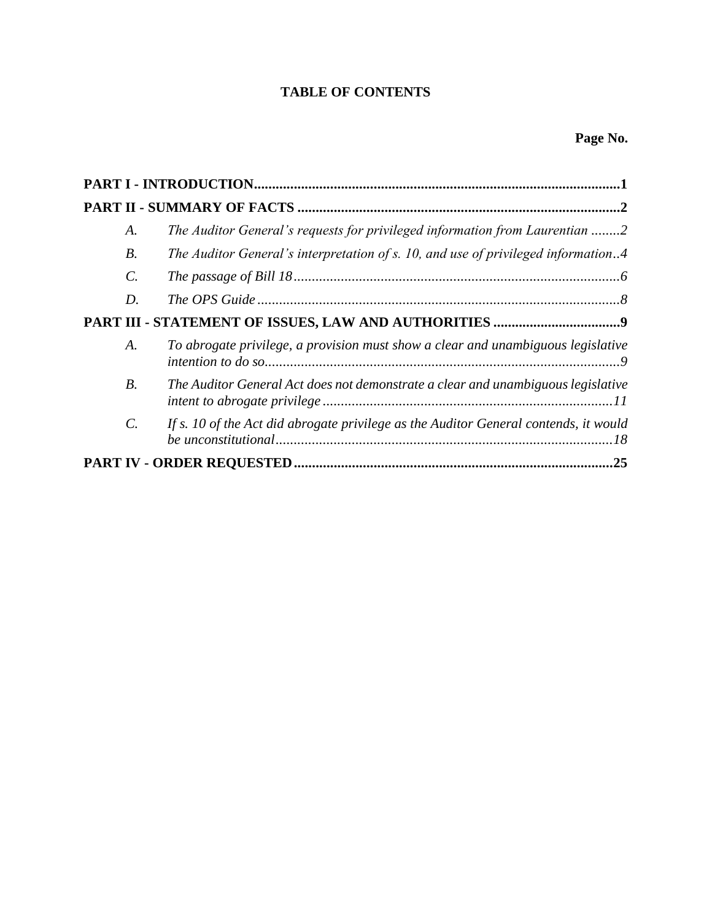# **TABLE OF CONTENTS**

| A.              | The Auditor General's requests for privileged information from Laurentian 2          |
|-----------------|--------------------------------------------------------------------------------------|
| <i>B</i> .      | The Auditor General's interpretation of s. 10, and use of privileged information4    |
| $\mathcal{C}$ . |                                                                                      |
| D.              |                                                                                      |
|                 |                                                                                      |
| A.              | To abrogate privilege, a provision must show a clear and unambiguous legislative     |
| $B$ .           | The Auditor General Act does not demonstrate a clear and unambiguous legislative     |
| $\mathcal{C}$ . | If s. 10 of the Act did abrogate privilege as the Auditor General contends, it would |
|                 | .25                                                                                  |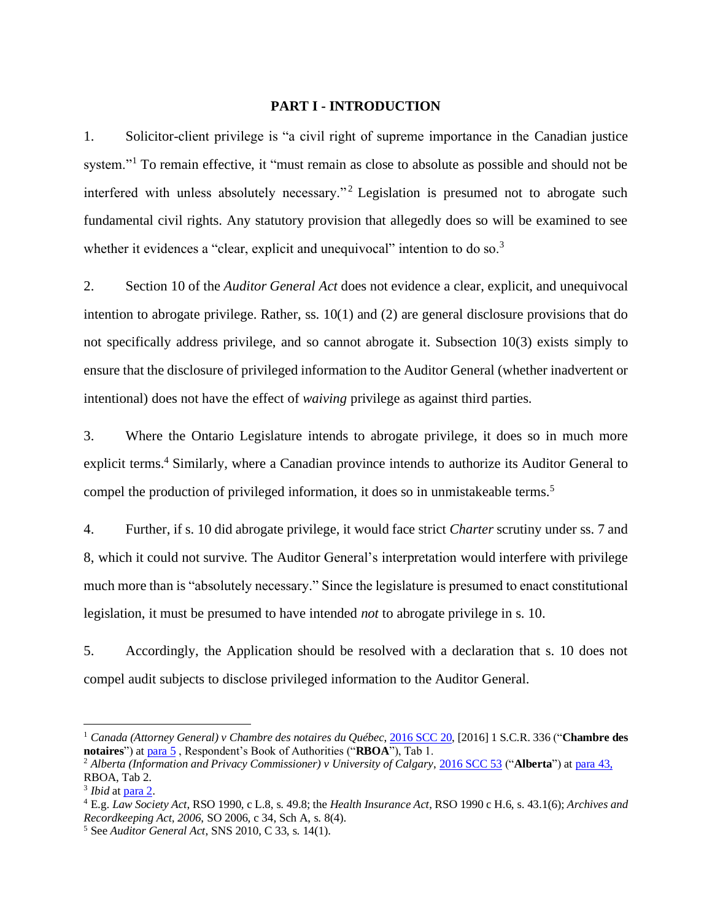#### **PART I - INTRODUCTION**

<span id="page-3-0"></span>1. Solicitor-client privilege is "a civil right of supreme importance in the Canadian justice system."<sup>1</sup> To remain effective, it "must remain as close to absolute as possible and should not be interfered with unless absolutely necessary."<sup>2</sup> Legislation is presumed not to abrogate such fundamental civil rights. Any statutory provision that allegedly does so will be examined to see whether it evidences a "clear, explicit and unequivocal" intention to do so.<sup>3</sup>

2. Section 10 of the *Auditor General Act* does not evidence a clear, explicit, and unequivocal intention to abrogate privilege. Rather, ss. 10(1) and (2) are general disclosure provisions that do not specifically address privilege, and so cannot abrogate it. Subsection 10(3) exists simply to ensure that the disclosure of privileged information to the Auditor General (whether inadvertent or intentional) does not have the effect of *waiving* privilege as against third parties.

3. Where the Ontario Legislature intends to abrogate privilege, it does so in much more explicit terms.<sup>4</sup> Similarly, where a Canadian province intends to authorize its Auditor General to compel the production of privileged information, it does so in unmistakeable terms.<sup>5</sup>

4. Further, if s. 10 did abrogate privilege, it would face strict *Charter* scrutiny under ss. 7 and 8, which it could not survive. The Auditor General's interpretation would interfere with privilege much more than is "absolutely necessary." Since the legislature is presumed to enact constitutional legislation, it must be presumed to have intended *not* to abrogate privilege in s. 10.

5. Accordingly, the Application should be resolved with a declaration that s. 10 does not compel audit subjects to disclose privileged information to the Auditor General.

<sup>1</sup> *Canada (Attorney General) v Chambre des notaires du Québec*, [2016 SCC 20,](https://www.canlii.org/en/ca/scc/doc/2016/2016scc20/2016scc20.html) [2016] 1 S.C.R. 336 ("**Chambre des notaires**") a[t para 5](https://canlii.ca/t/grxb1#par5) , Respondent's Book of Authorities ("**RBOA**"), Tab 1.

<sup>2</sup> *Alberta (Information and Privacy Commissioner) v University of Calgary*[, 2016 SCC 53](https://www.canlii.org/en/ca/scc/doc/2016/2016scc53/2016scc53.html) ("**Alberta**") a[t para 43,](https://canlii.ca/t/gvskr#par43) RBOA, Tab 2.

<sup>&</sup>lt;sup>3</sup> *Ibid* at [para 2.](https://canlii.ca/t/gvskr#par2)

<sup>4</sup> E.g. *Law Society Act*, RSO 1990, c L.8, s. 49.8; the *Health Insurance Act*, RSO 1990 c H.6, s. 43.1(6); *Archives and Recordkeeping Act, 2006*, SO 2006, c 34, Sch A, s. 8(4).

<sup>5</sup> See *Auditor General Act*, SNS 2010, C 33, s. 14(1).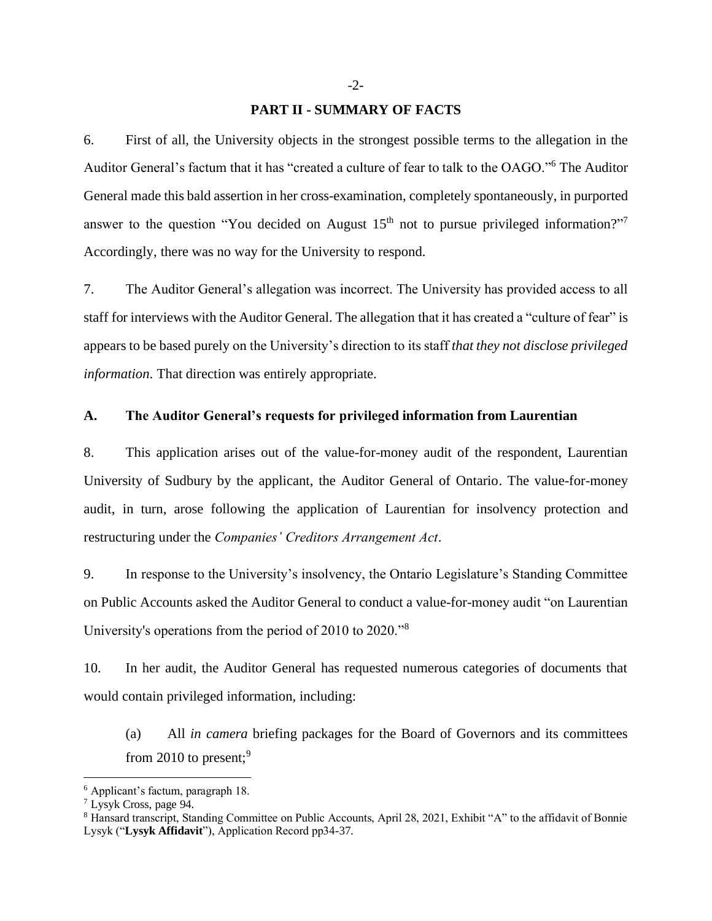#### **PART II - SUMMARY OF FACTS**

<span id="page-4-0"></span>6. First of all, the University objects in the strongest possible terms to the allegation in the Auditor General's factum that it has "created a culture of fear to talk to the OAGO."<sup>6</sup> The Auditor General made this bald assertion in her cross-examination, completely spontaneously, in purported answer to the question "You decided on August  $15<sup>th</sup>$  not to pursue privileged information?"<sup>7</sup> Accordingly, there was no way for the University to respond.

7. The Auditor General's allegation was incorrect. The University has provided access to all staff for interviews with the Auditor General. The allegation that it has created a "culture of fear" is appears to be based purely on the University's direction to its staff *that they not disclose privileged information*. That direction was entirely appropriate.

#### <span id="page-4-1"></span>**A. The Auditor General's requests for privileged information from Laurentian**

8. This application arises out of the value-for-money audit of the respondent, Laurentian University of Sudbury by the applicant, the Auditor General of Ontario. The value-for-money audit, in turn, arose following the application of Laurentian for insolvency protection and restructuring under the *Companies' Creditors Arrangement Act*.

9. In response to the University's insolvency, the Ontario Legislature's Standing Committee on Public Accounts asked the Auditor General to conduct a value-for-money audit "on Laurentian University's operations from the period of 2010 to 2020."<sup>8</sup>

10. In her audit, the Auditor General has requested numerous categories of documents that would contain privileged information, including:

(a) All *in camera* briefing packages for the Board of Governors and its committees from 2010 to present;<sup>9</sup>

<sup>6</sup> Applicant's factum, paragraph 18.

<sup>7</sup> Lysyk Cross, page 94.

<sup>&</sup>lt;sup>8</sup> Hansard transcript, Standing Committee on Public Accounts, April 28, 2021, Exhibit "A" to the affidavit of Bonnie Lysyk ("**Lysyk Affidavit**"), Application Record pp34-37.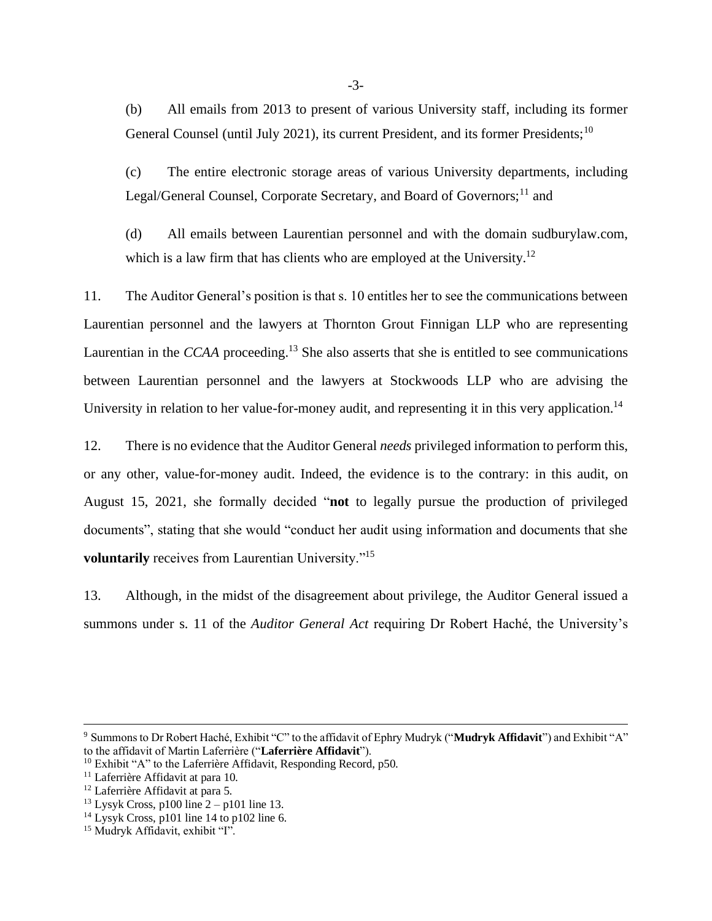(b) All emails from 2013 to present of various University staff, including its former General Counsel (until July 2021), its current President, and its former Presidents;<sup>10</sup>

(c) The entire electronic storage areas of various University departments, including Legal/General Counsel, Corporate Secretary, and Board of Governors;<sup>11</sup> and

(d) All emails between Laurentian personnel and with the domain sudburylaw.com, which is a law firm that has clients who are employed at the University.<sup>12</sup>

11. The Auditor General's position is that s. 10 entitles her to see the communications between Laurentian personnel and the lawyers at Thornton Grout Finnigan LLP who are representing Laurentian in the *CCAA* proceeding.<sup>13</sup> She also asserts that she is entitled to see communications between Laurentian personnel and the lawyers at Stockwoods LLP who are advising the University in relation to her value-for-money audit, and representing it in this very application.<sup>14</sup>

12. There is no evidence that the Auditor General *needs* privileged information to perform this, or any other, value-for-money audit. Indeed, the evidence is to the contrary: in this audit, on August 15, 2021, she formally decided "**not** to legally pursue the production of privileged documents", stating that she would "conduct her audit using information and documents that she voluntarily receives from Laurentian University."<sup>15</sup>

13. Although, in the midst of the disagreement about privilege, the Auditor General issued a summons under s. 11 of the *Auditor General Act* requiring Dr Robert Haché, the University's

<sup>9</sup> Summons to Dr Robert Haché, Exhibit "C" to the affidavit of Ephry Mudryk ("**Mudryk Affidavit**") and Exhibit "A" to the affidavit of Martin Laferrière ("**Laferrière Affidavit**").

<sup>&</sup>lt;sup>10</sup> Exhibit "A" to the Laferrière Affidavit, Responding Record, p50.

<sup>&</sup>lt;sup>11</sup> Laferrière Affidavit at para 10.

<sup>&</sup>lt;sup>12</sup> Laferrière Affidavit at para 5.

 $13$  Lysyk Cross, p100 line  $2 - p101$  line 13.

 $14$  Lysyk Cross, p101 line 14 to p102 line 6.

<sup>15</sup> Mudryk Affidavit, exhibit "I".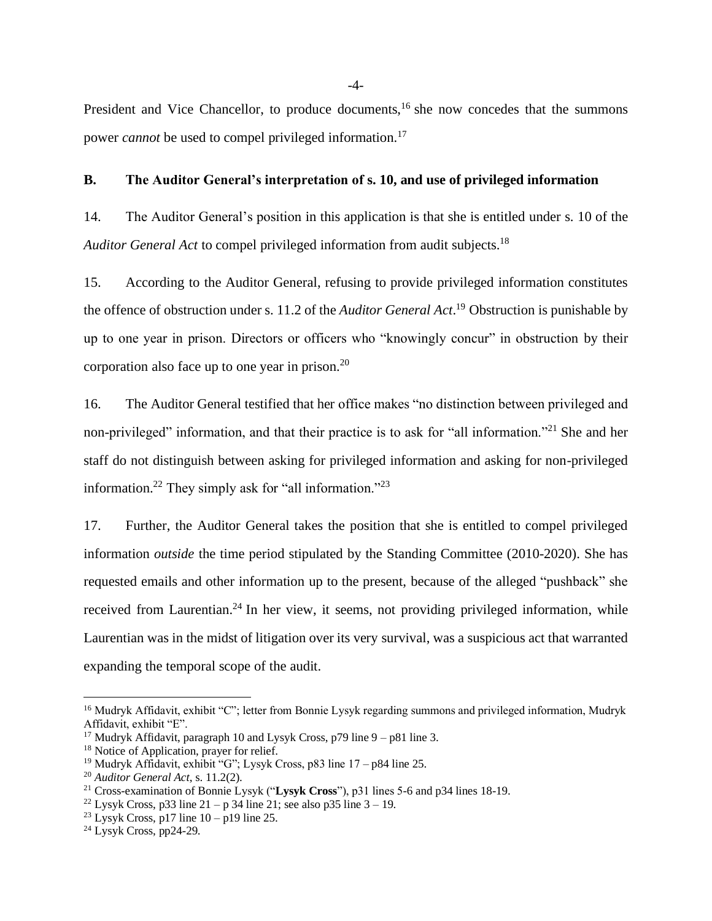President and Vice Chancellor, to produce documents,  $16$  she now concedes that the summons power *cannot* be used to compel privileged information.<sup>17</sup>

#### <span id="page-6-0"></span>**B. The Auditor General's interpretation of s. 10, and use of privileged information**

14. The Auditor General's position in this application is that she is entitled under s. 10 of the *Auditor General Act* to compel privileged information from audit subjects. 18

15. According to the Auditor General, refusing to provide privileged information constitutes the offence of obstruction under s. 11.2 of the *Auditor General Act*. <sup>19</sup> Obstruction is punishable by up to one year in prison. Directors or officers who "knowingly concur" in obstruction by their corporation also face up to one year in prison. $20$ 

16. The Auditor General testified that her office makes "no distinction between privileged and non-privileged" information, and that their practice is to ask for "all information."<sup>21</sup> She and her staff do not distinguish between asking for privileged information and asking for non-privileged information.<sup>22</sup> They simply ask for "all information."<sup>23</sup>

17. Further, the Auditor General takes the position that she is entitled to compel privileged information *outside* the time period stipulated by the Standing Committee (2010-2020). She has requested emails and other information up to the present, because of the alleged "pushback" she received from Laurentian.<sup>24</sup> In her view, it seems, not providing privileged information, while Laurentian was in the midst of litigation over its very survival, was a suspicious act that warranted expanding the temporal scope of the audit.

-4-

<sup>&</sup>lt;sup>16</sup> Mudryk Affidavit, exhibit "C"; letter from Bonnie Lysyk regarding summons and privileged information, Mudryk Affidavit, exhibit "E".

<sup>&</sup>lt;sup>17</sup> Mudryk Affidavit, paragraph 10 and Lysyk Cross, p79 line  $9 - p81$  line 3.

<sup>&</sup>lt;sup>18</sup> Notice of Application, prayer for relief.

<sup>&</sup>lt;sup>19</sup> Mudryk Affidavit, exhibit "G"; Lysyk Cross, p83 line  $17 - p84$  line 25.

<sup>20</sup> *Auditor General Act*, s. 11.2(2).

<sup>21</sup> Cross-examination of Bonnie Lysyk ("**Lysyk Cross**"), p31 lines 5-6 and p34 lines 18-19.

<sup>&</sup>lt;sup>22</sup> Lysyk Cross, p33 line  $21 - p$  34 line 21; see also p35 line  $3 - 19$ .

<sup>&</sup>lt;sup>23</sup> Lysyk Cross, p17 line  $10 - p19$  line 25.

 $24$  Lysyk Cross, pp24-29.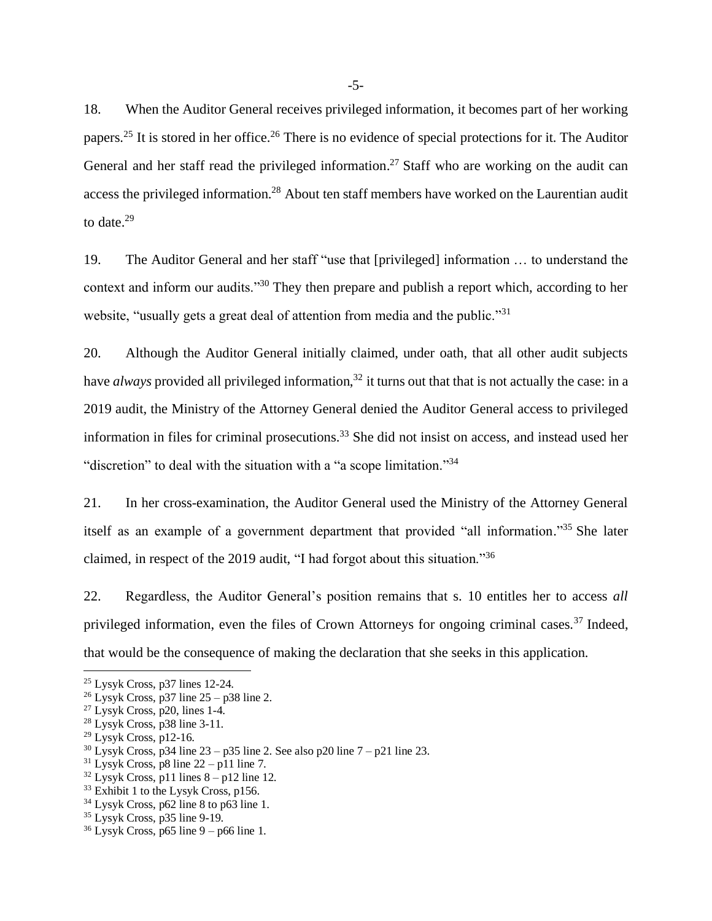18. When the Auditor General receives privileged information, it becomes part of her working papers.<sup>25</sup> It is stored in her office.<sup>26</sup> There is no evidence of special protections for it. The Auditor General and her staff read the privileged information.<sup>27</sup> Staff who are working on the audit can access the privileged information.<sup>28</sup> About ten staff members have worked on the Laurentian audit to date. $29$ 

19. The Auditor General and her staff "use that [privileged] information … to understand the context and inform our audits."<sup>30</sup> They then prepare and publish a report which, according to her website, "usually gets a great deal of attention from media and the public."<sup>31</sup>

20. Although the Auditor General initially claimed, under oath, that all other audit subjects have *always* provided all privileged information,<sup>32</sup> it turns out that that is not actually the case: in a 2019 audit, the Ministry of the Attorney General denied the Auditor General access to privileged information in files for criminal prosecutions. <sup>33</sup> She did not insist on access, and instead used her "discretion" to deal with the situation with a "a scope limitation."<sup>34</sup>

21. In her cross-examination, the Auditor General used the Ministry of the Attorney General itself as an example of a government department that provided "all information." <sup>35</sup> She later claimed, in respect of the 2019 audit, "I had forgot about this situation."<sup>36</sup>

22. Regardless, the Auditor General's position remains that s. 10 entitles her to access *all* privileged information, even the files of Crown Attorneys for ongoing criminal cases.<sup>37</sup> Indeed, that would be the consequence of making the declaration that she seeks in this application.

<sup>25</sup> Lysyk Cross, p37 lines 12-24.

 $26$  Lysyk Cross, p37 line  $25 - p38$  line 2.

 $27$  Lysyk Cross, p20, lines 1-4.

 $28$  Lysyk Cross, p38 line 3-11.

<sup>29</sup> Lysyk Cross, p12-16.

 $30$  Lysyk Cross, p34 line 23 – p35 line 2. See also p20 line  $7 - p21$  line 23.

 $31$  Lysyk Cross, p8 line  $22 - p11$  line 7.

 $32$  Lysyk Cross, p11 lines  $8 - p12$  line 12.

<sup>&</sup>lt;sup>33</sup> Exhibit 1 to the Lysyk Cross, p156.

<sup>34</sup> Lysyk Cross, p62 line 8 to p63 line 1.

<sup>35</sup> Lysyk Cross, p35 line 9-19.

 $36$  Lysyk Cross, p65 line 9 – p66 line 1.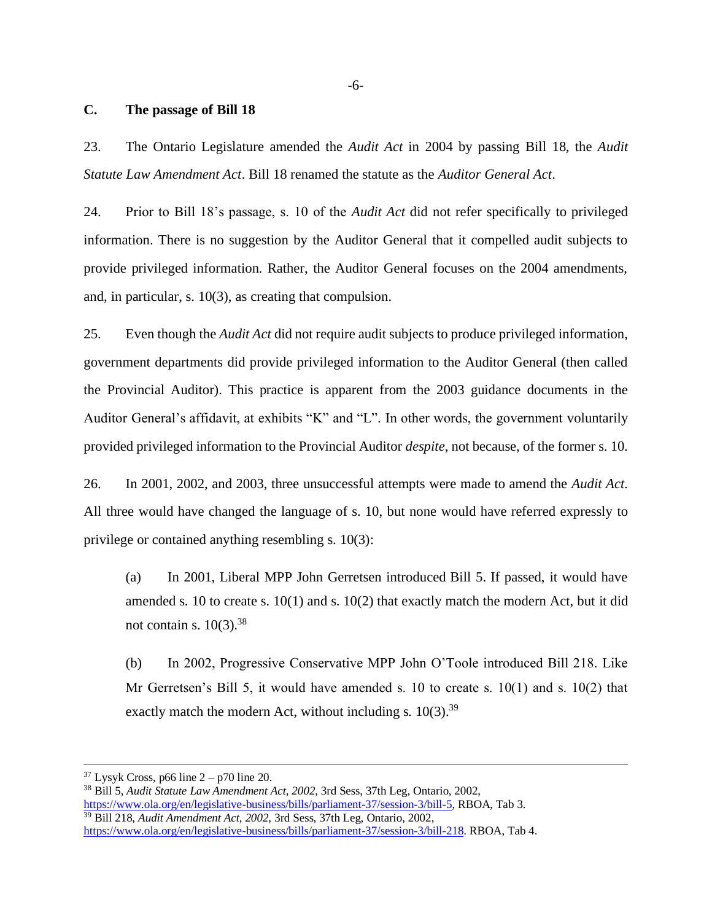## <span id="page-8-0"></span>**C. The passage of Bill 18**

23. The Ontario Legislature amended the *Audit Act* in 2004 by passing Bill 18, the *Audit Statute Law Amendment Act*. Bill 18 renamed the statute as the *Auditor General Act*.

24. Prior to Bill 18's passage, s. 10 of the *Audit Act* did not refer specifically to privileged information. There is no suggestion by the Auditor General that it compelled audit subjects to provide privileged information. Rather, the Auditor General focuses on the 2004 amendments, and, in particular, s. 10(3), as creating that compulsion.

25. Even though the *Audit Act* did not require audit subjects to produce privileged information, government departments did provide privileged information to the Auditor General (then called the Provincial Auditor). This practice is apparent from the 2003 guidance documents in the Auditor General's affidavit, at exhibits "K" and "L". In other words, the government voluntarily provided privileged information to the Provincial Auditor *despite*, not because, of the former s. 10.

26. In 2001, 2002, and 2003, three unsuccessful attempts were made to amend the *Audit Act*. All three would have changed the language of s. 10, but none would have referred expressly to privilege or contained anything resembling s. 10(3):

(a) In 2001, Liberal MPP John Gerretsen introduced Bill 5. If passed, it would have amended s. 10 to create s.  $10(1)$  and s.  $10(2)$  that exactly match the modern Act, but it did not contain s.  $10(3).^{38}$ 

(b) In 2002, Progressive Conservative MPP John O'Toole introduced Bill 218. Like Mr Gerretsen's Bill 5, it would have amended s. 10 to create s. 10(1) and s. 10(2) that exactly match the modern Act, without including s.  $10(3)$ .<sup>39</sup>

 $37$  Lysyk Cross, p66 line  $2 - p70$  line 20.

<sup>38</sup> Bill 5, *Audit Statute Law Amendment Act, 2002*, 3rd Sess, 37th Leg, Ontario, 2002, [https://www.ola.org/en/legislative-business/bills/parliament-37/session-3/bill-5,](https://www.ola.org/en/legislative-business/bills/parliament-37/session-3/bill-5) RBOA, Tab 3. <sup>39</sup> Bill 218, *Audit Amendment Act, 2002*, 3rd Sess, 37th Leg, Ontario, 2002, [https://www.ola.org/en/legislative-business/bills/parliament-37/session-3/bill-218.](https://www.ola.org/en/legislative-business/bills/parliament-37/session-3/bill-218) RBOA, Tab 4.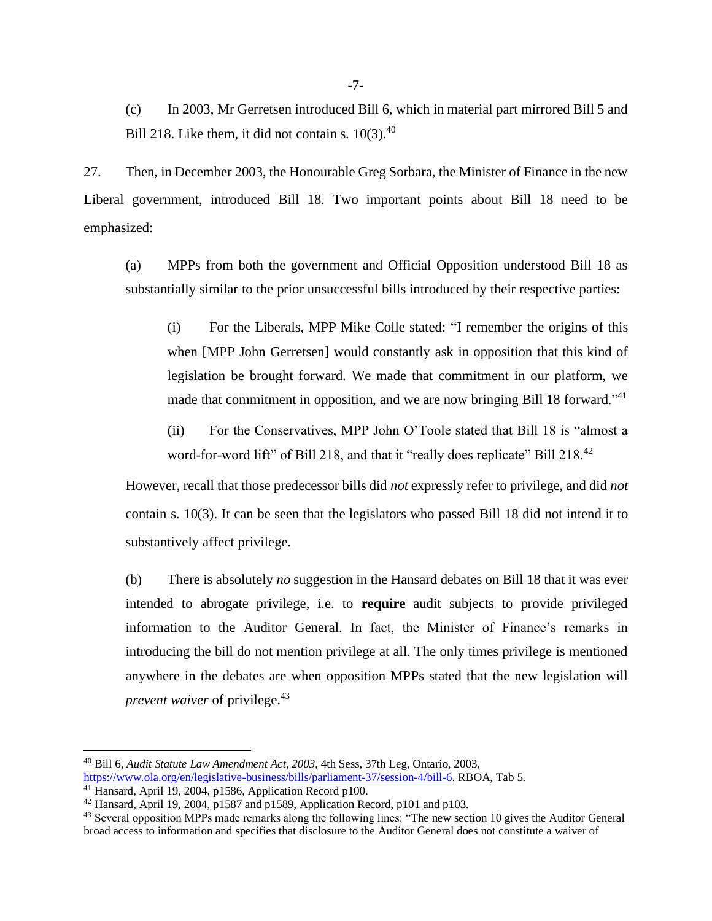(c) In 2003, Mr Gerretsen introduced Bill 6, which in material part mirrored Bill 5 and Bill 218. Like them, it did not contain s.  $10(3).^{40}$ 

27. Then, in December 2003, the Honourable Greg Sorbara, the Minister of Finance in the new Liberal government, introduced Bill 18. Two important points about Bill 18 need to be emphasized:

(a) MPPs from both the government and Official Opposition understood Bill 18 as substantially similar to the prior unsuccessful bills introduced by their respective parties:

(i) For the Liberals, MPP Mike Colle stated: "I remember the origins of this when [MPP John Gerretsen] would constantly ask in opposition that this kind of legislation be brought forward. We made that commitment in our platform, we made that commitment in opposition, and we are now bringing Bill 18 forward."<sup>41</sup>

(ii) For the Conservatives, MPP John O'Toole stated that Bill 18 is "almost a word-for-word lift" of Bill 218, and that it "really does replicate" Bill 218.<sup>42</sup>

However, recall that those predecessor bills did *not* expressly refer to privilege, and did *not* contain s. 10(3). It can be seen that the legislators who passed Bill 18 did not intend it to substantively affect privilege.

(b) There is absolutely *no* suggestion in the Hansard debates on Bill 18 that it was ever intended to abrogate privilege, i.e. to **require** audit subjects to provide privileged information to the Auditor General. In fact, the Minister of Finance's remarks in introducing the bill do not mention privilege at all. The only times privilege is mentioned anywhere in the debates are when opposition MPPs stated that the new legislation will *prevent waiver* of privilege.<sup>43</sup>

<sup>40</sup> Bill 6, *Audit Statute Law Amendment Act, 2003*, 4th Sess, 37th Leg, Ontario, 2003, [https://www.ola.org/en/legislative-business/bills/parliament-37/session-4/bill-6.](https://www.ola.org/en/legislative-business/bills/parliament-37/session-4/bill-6) RBOA, Tab 5.

<sup>&</sup>lt;sup>41</sup> Hansard, April 19, 2004, p1586, Application Record p100.

<sup>&</sup>lt;sup>42</sup> Hansard, April 19, 2004, p1587 and p1589, Application Record, p101 and p103.

<sup>&</sup>lt;sup>43</sup> Several opposition MPPs made remarks along the following lines: "The new section 10 gives the Auditor General broad access to information and specifies that disclosure to the Auditor General does not constitute a waiver of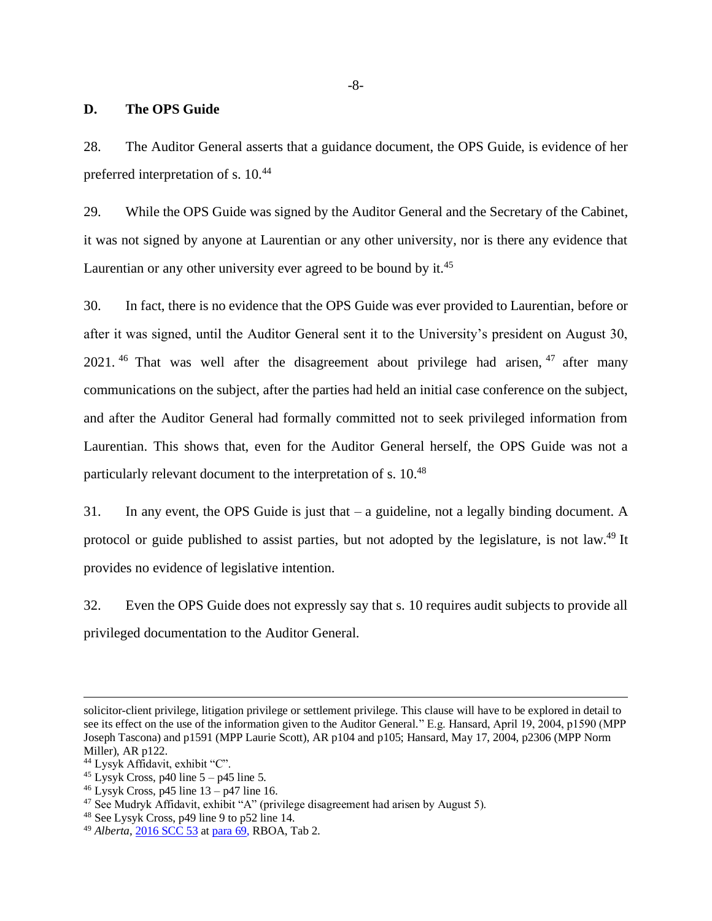#### <span id="page-10-0"></span>**D. The OPS Guide**

28. The Auditor General asserts that a guidance document, the OPS Guide, is evidence of her preferred interpretation of s. 10.<sup>44</sup>

29. While the OPS Guide was signed by the Auditor General and the Secretary of the Cabinet, it was not signed by anyone at Laurentian or any other university, nor is there any evidence that Laurentian or any other university ever agreed to be bound by it.<sup>45</sup>

30. In fact, there is no evidence that the OPS Guide was ever provided to Laurentian, before or after it was signed, until the Auditor General sent it to the University's president on August 30, 2021.<sup>46</sup> That was well after the disagreement about privilege had arisen,  $47$  after many communications on the subject, after the parties had held an initial case conference on the subject, and after the Auditor General had formally committed not to seek privileged information from Laurentian. This shows that, even for the Auditor General herself, the OPS Guide was not a particularly relevant document to the interpretation of s. 10.<sup>48</sup>

31. In any event, the OPS Guide is just that – a guideline, not a legally binding document. A protocol or guide published to assist parties, but not adopted by the legislature, is not law.<sup>49</sup> It provides no evidence of legislative intention.

32. Even the OPS Guide does not expressly say that s. 10 requires audit subjects to provide all privileged documentation to the Auditor General.

solicitor-client privilege, litigation privilege or settlement privilege. This clause will have to be explored in detail to see its effect on the use of the information given to the Auditor General." E.g. Hansard, April 19, 2004, p1590 (MPP Joseph Tascona) and p1591 (MPP Laurie Scott), AR p104 and p105; Hansard, May 17, 2004, p2306 (MPP Norm Miller), AR p122.

<sup>44</sup> Lysyk Affidavit, exhibit "C".

 $45$  Lysyk Cross, p40 line  $5 - p45$  line 5.

 $46$  Lysyk Cross, p45 line  $13 - p47$  line 16.

<sup>47</sup> See Mudryk Affidavit, exhibit "A" (privilege disagreement had arisen by August 5).

<sup>48</sup> See Lysyk Cross, p49 line 9 to p52 line 14.

<sup>49</sup> *Alberta*, [2016 SCC 53](https://www.canlii.org/en/ca/scc/doc/2016/2016scc53/2016scc53.html) at [para 69,](https://canlii.ca/t/gvskr#par69) RBOA, Tab 2.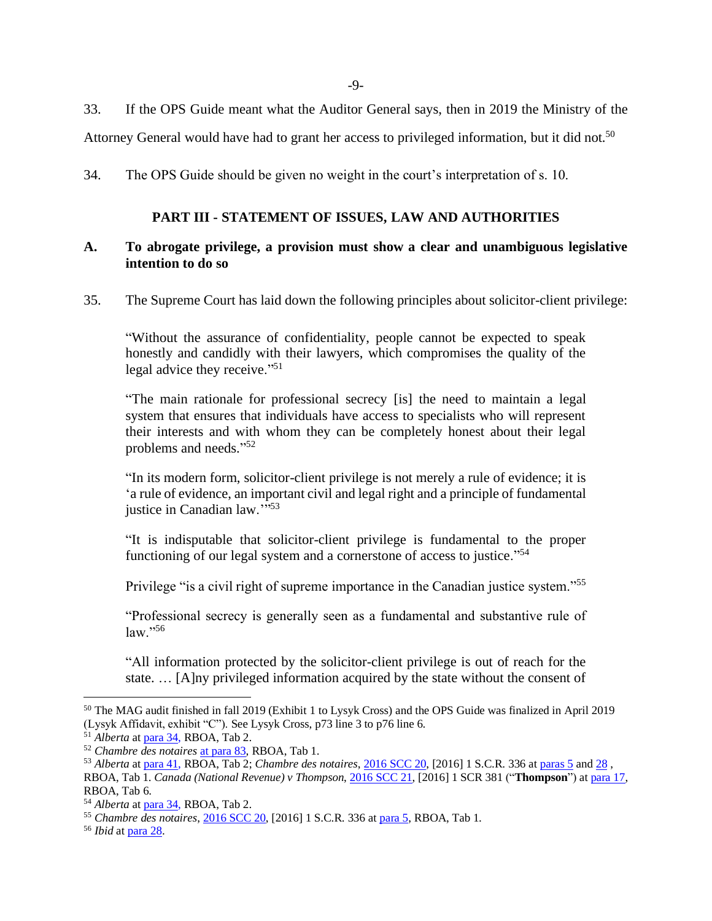-9-

33. If the OPS Guide meant what the Auditor General says, then in 2019 the Ministry of the

Attorney General would have had to grant her access to privileged information, but it did not.<sup>50</sup>

<span id="page-11-0"></span>34. The OPS Guide should be given no weight in the court's interpretation of s. 10.

#### **PART III - STATEMENT OF ISSUES, LAW AND AUTHORITIES**

#### <span id="page-11-1"></span>**A. To abrogate privilege, a provision must show a clear and unambiguous legislative intention to do so**

35. The Supreme Court has laid down the following principles about solicitor-client privilege:

"Without the assurance of confidentiality, people cannot be expected to speak honestly and candidly with their lawyers, which compromises the quality of the legal advice they receive."<sup>51</sup>

"The main rationale for professional secrecy [is] the need to maintain a legal system that ensures that individuals have access to specialists who will represent their interests and with whom they can be completely honest about their legal problems and needs."<sup>52</sup>

"In its modern form, solicitor-client privilege is not merely a rule of evidence; it is 'a rule of evidence, an important civil and legal right and a principle of fundamental justice in Canadian law.""53

"It is indisputable that solicitor-client privilege is fundamental to the proper functioning of our legal system and a cornerstone of access to justice."<sup>54</sup>

Privilege "is a civil right of supreme importance in the Canadian justice system."<sup>55</sup>

"Professional secrecy is generally seen as a fundamental and substantive rule of  $law.$ "<sup>56</sup>

"All information protected by the solicitor-client privilege is out of reach for the state. … [A]ny privileged information acquired by the state without the consent of

<sup>50</sup> The MAG audit finished in fall 2019 (Exhibit 1 to Lysyk Cross) and the OPS Guide was finalized in April 2019 (Lysyk Affidavit, exhibit "C"). See Lysyk Cross, p73 line 3 to p76 line 6.

<sup>51</sup> *Alberta* a[t para 34,](https://canlii.ca/t/gvskr#par34) RBOA, Tab 2.

<sup>52</sup> *Chambre des notaires* [at para 83,](https://canlii.ca/t/grxb1#par83) RBOA, Tab 1.

<sup>53</sup> *Alberta* a[t para 41,](https://canlii.ca/t/gvskr#par41) RBOA, Tab 2; *Chambre des notaires*[, 2016 SCC 20,](https://www.canlii.org/en/ca/scc/doc/2016/2016scc20/2016scc20.html) [2016] 1 S.C.R. 336 a[t paras 5](https://canlii.ca/t/grxb1#par5) an[d 28](https://canlii.ca/t/grxb1#par28) , RBOA, Tab 1. *Canada (National Revenue) v Thompson*[, 2016 SCC 21,](https://www.canlii.org/en/ca/scc/doc/2016/2016scc21/2016scc21.html) [2016] 1 SCR 381 ("**Thompson**") at [para 17,](https://canlii.ca/t/grxb3#par17) RBOA, Tab 6.

<sup>54</sup> *Alberta* a[t para 34,](https://canlii.ca/t/gvskr#par34) RBOA, Tab 2.

<sup>55</sup> *Chambre des notaires*[, 2016 SCC 20,](https://www.canlii.org/en/ca/scc/doc/2016/2016scc20/2016scc20.html) [2016] 1 S.C.R. 336 a[t para 5,](https://canlii.ca/t/grxb1#par5) RBOA, Tab 1.

<sup>56</sup> *Ibid* a[t para 28.](https://canlii.ca/t/grxb1#par28)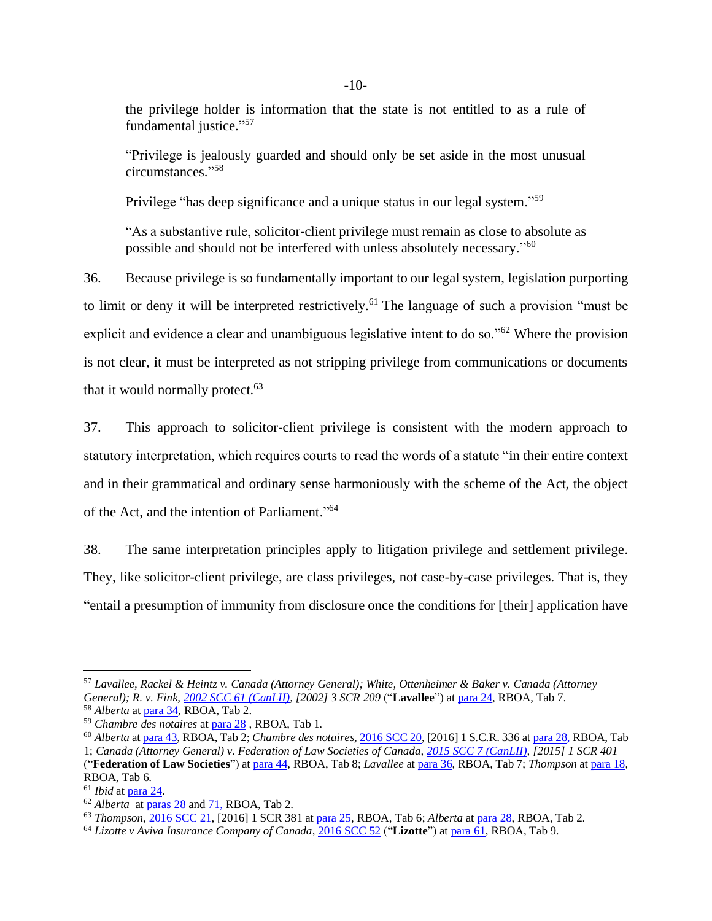the privilege holder is information that the state is not entitled to as a rule of fundamental justice."<sup>57</sup>

"Privilege is jealously guarded and should only be set aside in the most unusual circumstances." 58

Privilege "has deep significance and a unique status in our legal system."<sup>59</sup>

"As a substantive rule, solicitor-client privilege must remain as close to absolute as possible and should not be interfered with unless absolutely necessary."<sup>60</sup>

36. Because privilege is so fundamentally important to our legal system, legislation purporting to limit or deny it will be interpreted restrictively.<sup>61</sup> The language of such a provision "must be explicit and evidence a clear and unambiguous legislative intent to do so."<sup>62</sup> Where the provision is not clear, it must be interpreted as not stripping privilege from communications or documents that it would normally protect.<sup>63</sup>

37. This approach to solicitor-client privilege is consistent with the modern approach to statutory interpretation, which requires courts to read the words of a statute "in their entire context and in their grammatical and ordinary sense harmoniously with the scheme of the Act, the object of the Act, and the intention of Parliament."<sup>64</sup>

38. The same interpretation principles apply to litigation privilege and settlement privilege. They, like solicitor-client privilege, are class privileges, not case-by-case privileges. That is, they "entail a presumption of immunity from disclosure once the conditions for [their] application have

<sup>57</sup> *Lavallee, Rackel & Heintz v. Canada (Attorney General); White, Ottenheimer & Baker v. Canada (Attorney General); R. v. Fink, [2002 SCC 61 \(CanLII\),](https://www.canlii.org/en/ca/scc/doc/2002/2002scc61/2002scc61.html) [2002] 3 SCR 209* ("**Lavallee**") a[t para 24,](https://www.canlii.org/en/ca/scc/doc/2002/2002scc61/2002scc61.html) RBOA, Tab 7.

<sup>58</sup> *Alberta* a[t para 34,](https://canlii.ca/t/gvskr#par34) RBOA, Tab 2.

<sup>59</sup> *Chambre des notaires* a[t para 28](https://canlii.ca/t/grxb1#par28) , RBOA, Tab 1.

<sup>60</sup> *Alberta* a[t para 43,](https://canlii.ca/t/gvskr#par43) RBOA, Tab 2; *Chambre des notaires*[, 2016 SCC 20,](https://www.canlii.org/en/ca/scc/doc/2016/2016scc20/2016scc20.html) [2016] 1 S.C.R. 336 a[t para 28,](https://canlii.ca/t/grxb1#par28) RBOA, Tab 1; *Canada (Attorney General) v. Federation of Law Societies of Canada[, 2015 SCC 7 \(CanLII\),](https://www.canlii.org/en/ca/scc/doc/2015/2015scc7/2015scc7.html) [2015] 1 SCR 401*

<sup>(&</sup>quot;**Federation of Law Societies**") a[t para 44,](https://canlii.ca/t/gg977#par44) RBOA, Tab 8; *Lavallee* at [para 36,](https://www.canlii.org/en/ca/scc/doc/2002/2002scc61/2002scc61.html) RBOA, Tab 7; *Thompson* at [para 18,](https://canlii.ca/t/grxb3#par18) RBOA, Tab 6.

<sup>61</sup> *Ibid* a[t para 24.](https://canlii.ca/t/grxb3#par24)

<sup>62</sup> *Alberta* a[t paras 28](https://canlii.ca/t/gvskr#par28) an[d 71,](https://canlii.ca/t/gvskr#par71) RBOA, Tab 2.

<sup>63</sup> *Thompson*[, 2016 SCC 21,](https://www.canlii.org/en/ca/scc/doc/2016/2016scc21/2016scc21.html) [2016] 1 SCR 381 at [para 25,](https://canlii.ca/t/grxb3#par25) RBOA, Tab 6; *Alberta* at [para 28,](https://canlii.ca/t/gvskr#par28) RBOA, Tab 2.

<sup>64</sup> *Lizotte v Aviva Insurance Company of Canada*[, 2016 SCC 52](https://www.canlii.org/en/ca/scc/doc/2016/2016scc52/2016scc52.html) ("**Lizotte**") a[t para 61,](https://www.canlii.org/en/ca/scc/doc/2016/2016scc52/2016scc52.html#par61) RBOA, Tab 9.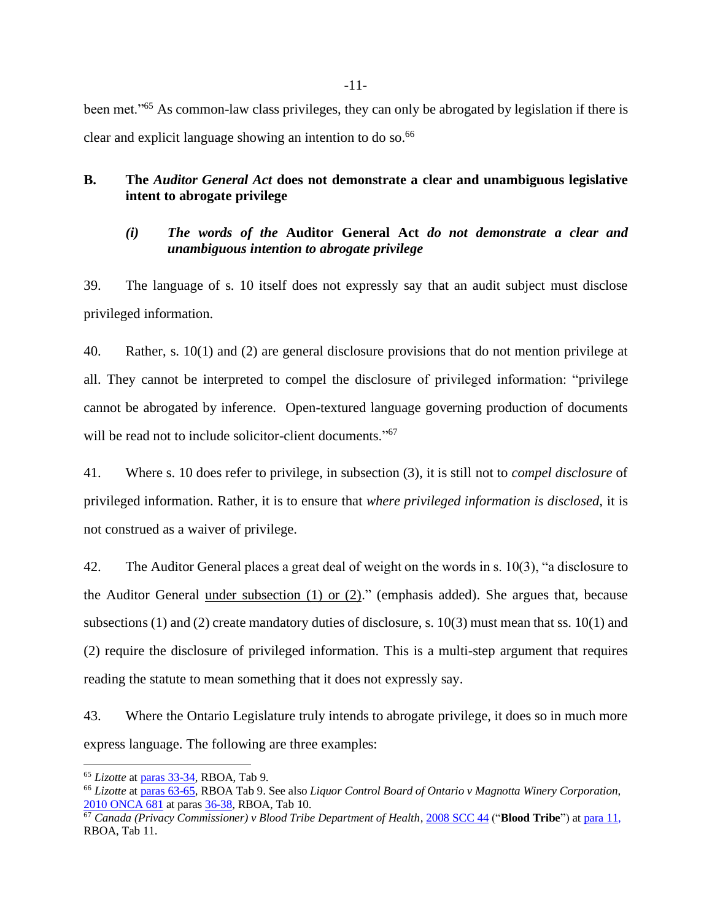been met."<sup>65</sup> As common-law class privileges, they can only be abrogated by legislation if there is clear and explicit language showing an intention to do so.<sup>66</sup>

## <span id="page-13-0"></span>**B. The** *Auditor General Act* **does not demonstrate a clear and unambiguous legislative intent to abrogate privilege**

## *(i) The words of the* **Auditor General Act** *do not demonstrate a clear and unambiguous intention to abrogate privilege*

39. The language of s. 10 itself does not expressly say that an audit subject must disclose privileged information.

40. Rather, s. 10(1) and (2) are general disclosure provisions that do not mention privilege at all. They cannot be interpreted to compel the disclosure of privileged information: "privilege cannot be abrogated by inference. Open-textured language governing production of documents will be read not to include solicitor-client documents."<sup>67</sup>

41. Where s. 10 does refer to privilege, in subsection (3), it is still not to *compel disclosure* of privileged information. Rather, it is to ensure that *where privileged information is disclosed,* it is not construed as a waiver of privilege.

42. The Auditor General places a great deal of weight on the words in s. 10(3), "a disclosure to the Auditor General under subsection  $(1)$  or  $(2)$ ." (emphasis added). She argues that, because subsections (1) and (2) create mandatory duties of disclosure, s. 10(3) must mean that ss. 10(1) and (2) require the disclosure of privileged information. This is a multi-step argument that requires reading the statute to mean something that it does not expressly say.

43. Where the Ontario Legislature truly intends to abrogate privilege, it does so in much more express language. The following are three examples:

-11-

<sup>65</sup> *Lizotte* a[t paras 33-34,](https://canlii.ca/t/gvskp#par33) RBOA, Tab 9.

<sup>66</sup> *Lizotte* a[t paras 63-65,](https://canlii.ca/t/gvskp#par63) RBOA Tab 9. See also *Liquor Control Board of Ontario v Magnotta Winery Corporation*, [2010 ONCA 681](https://www.canlii.org/en/on/onca/doc/2010/2010onca681/2010onca681.html?autocompleteStr=Liquor%20Control%20Board%20of%20Ontario%20v%20Magnotta%20Winery%20Corporation%20&autocompletePos=1) at paras [36-38,](https://canlii.ca/t/2d05p#par36) RBOA, Tab 10.

<sup>67</sup> *Canada (Privacy Commissioner) v Blood Tribe Department of Health*[, 2008 SCC 44](https://www.canlii.org/en/ca/scc/doc/2008/2008scc44/2008scc44.html) ("**Blood Tribe**") a[t para 11,](https://canlii.ca/t/1zhmr#par11) RBOA, Tab 11.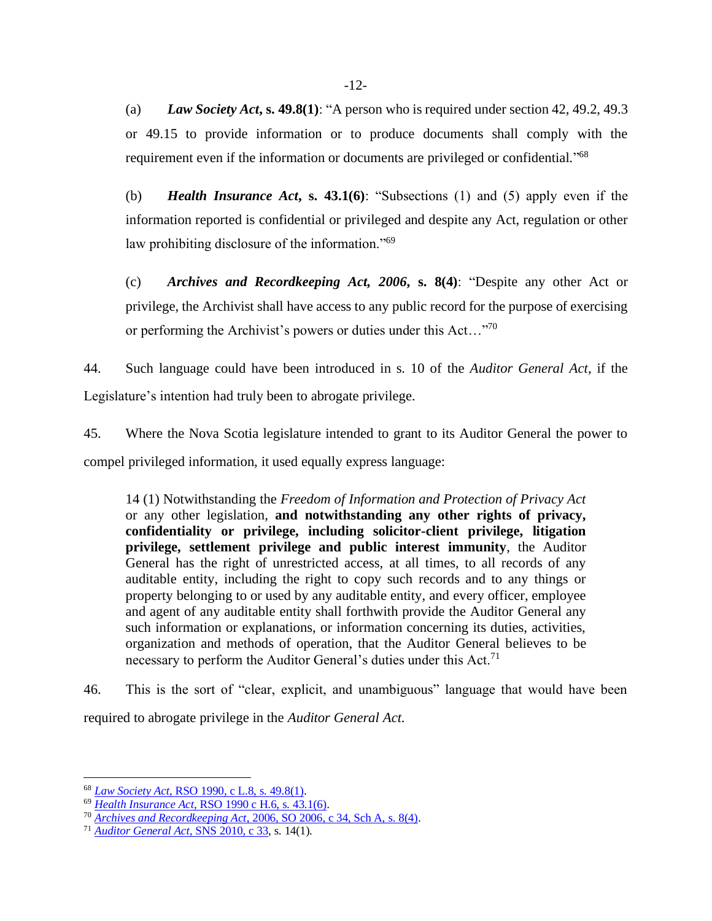(a) *Law Society Act***, s. 49.8(1)**: "A person who is required under section 42, 49.2, 49.3 or 49.15 to provide information or to produce documents shall comply with the requirement even if the information or documents are privileged or confidential."<sup>68</sup>

(b) *Health Insurance Act***, s. 43.1(6)**: "Subsections (1) and (5) apply even if the information reported is confidential or privileged and despite any Act, regulation or other law prohibiting disclosure of the information."<sup>69</sup>

(c) *Archives and Recordkeeping Act, 2006***, s. 8(4)**: "Despite any other Act or privilege, the Archivist shall have access to any public record for the purpose of exercising or performing the Archivist's powers or duties under this Act... $\cdot$ <sup>70</sup>

44. Such language could have been introduced in s. 10 of the *Auditor General Act*, if the Legislature's intention had truly been to abrogate privilege.

45. Where the Nova Scotia legislature intended to grant to its Auditor General the power to compel privileged information, it used equally express language:

14 (1) Notwithstanding the *Freedom of Information and Protection of Privacy Act* or any other legislation, **and notwithstanding any other rights of privacy, confidentiality or privilege, including solicitor-client privilege, litigation privilege, settlement privilege and public interest immunity**, the Auditor General has the right of unrestricted access, at all times, to all records of any auditable entity, including the right to copy such records and to any things or property belonging to or used by any auditable entity, and every officer, employee and agent of any auditable entity shall forthwith provide the Auditor General any such information or explanations, or information concerning its duties, activities, organization and methods of operation, that the Auditor General believes to be necessary to perform the Auditor General's duties under this Act.<sup>71</sup>

46. This is the sort of "clear, explicit, and unambiguous" language that would have been required to abrogate privilege in the *Auditor General Act*.

<sup>68</sup> *Law Society Act*[, RSO 1990, c L.8, s. 49.8\(1\).](https://canlii.ca/t/2h8#sec49.8)

<sup>69</sup> *Health Insurance Act*[, RSO 1990 c H.6, s. 43.1\(6\).](https://canlii.ca/t/2fn#sec43.1)

<sup>70</sup> *Archives and Recordkeeping Act*[, 2006, SO 2006, c 34, Sch A, s. 8\(4\).](https://canlii.ca/t/344#sec8)

<sup>71</sup> *[Auditor General Act](https://canlii.ca/t/52tpj)*, SNS 2010, c 33, s. 14(1).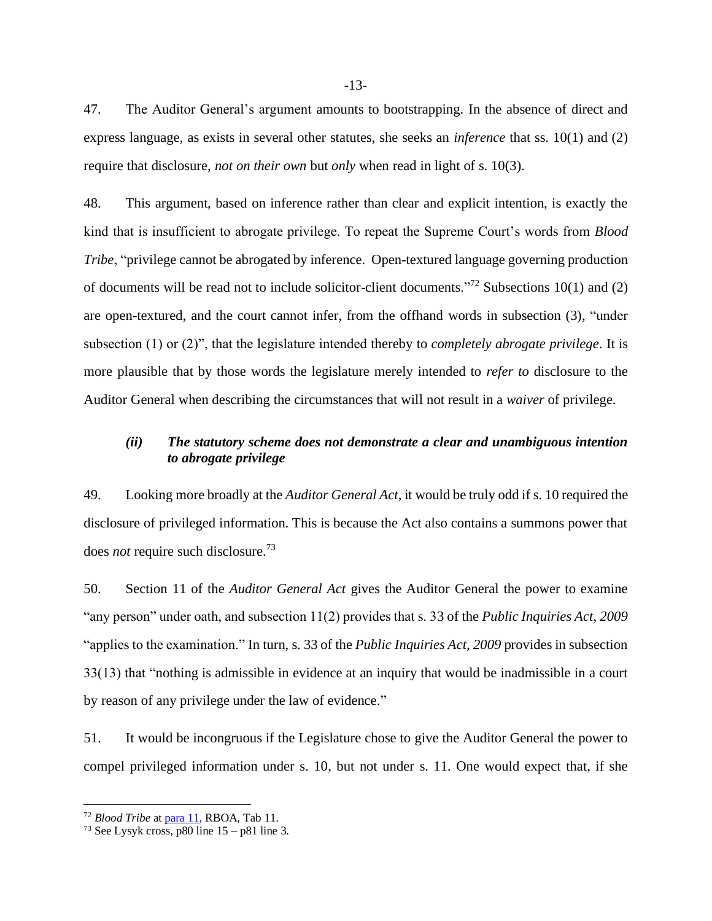47. The Auditor General's argument amounts to bootstrapping. In the absence of direct and express language, as exists in several other statutes, she seeks an *inference* that ss. 10(1) and (2) require that disclosure, *not on their own* but *only* when read in light of s. 10(3).

48. This argument, based on inference rather than clear and explicit intention, is exactly the kind that is insufficient to abrogate privilege. To repeat the Supreme Court's words from *Blood Tribe*, "privilege cannot be abrogated by inference. Open-textured language governing production of documents will be read not to include solicitor-client documents."<sup>72</sup> Subsections 10(1) and (2) are open-textured, and the court cannot infer, from the offhand words in subsection (3), "under subsection (1) or (2)", that the legislature intended thereby to *completely abrogate privilege*. It is more plausible that by those words the legislature merely intended to *refer to* disclosure to the Auditor General when describing the circumstances that will not result in a *waiver* of privilege.

#### *(ii) The statutory scheme does not demonstrate a clear and unambiguous intention to abrogate privilege*

49. Looking more broadly at the *Auditor General Act*, it would be truly odd if s. 10 required the disclosure of privileged information. This is because the Act also contains a summons power that does *not* require such disclosure.<sup>73</sup>

50. Section 11 of the *Auditor General Act* gives the Auditor General the power to examine "any person" under oath, and subsection 11(2) provides that s. 33 of the *Public Inquiries Act, 2009* "applies to the examination." In turn, s. 33 of the *Public Inquiries Act, 2009* provides in subsection 33(13) that "nothing is admissible in evidence at an inquiry that would be inadmissible in a court by reason of any privilege under the law of evidence."

51. It would be incongruous if the Legislature chose to give the Auditor General the power to compel privileged information under s. 10, but not under s. 11. One would expect that, if she

<sup>72</sup> *Blood Tribe* a[t para 11,](https://canlii.ca/t/1zhmr#par11) RBOA, Tab 11.

<sup>&</sup>lt;sup>73</sup> See Lysyk cross, p80 line  $15 - p81$  line 3.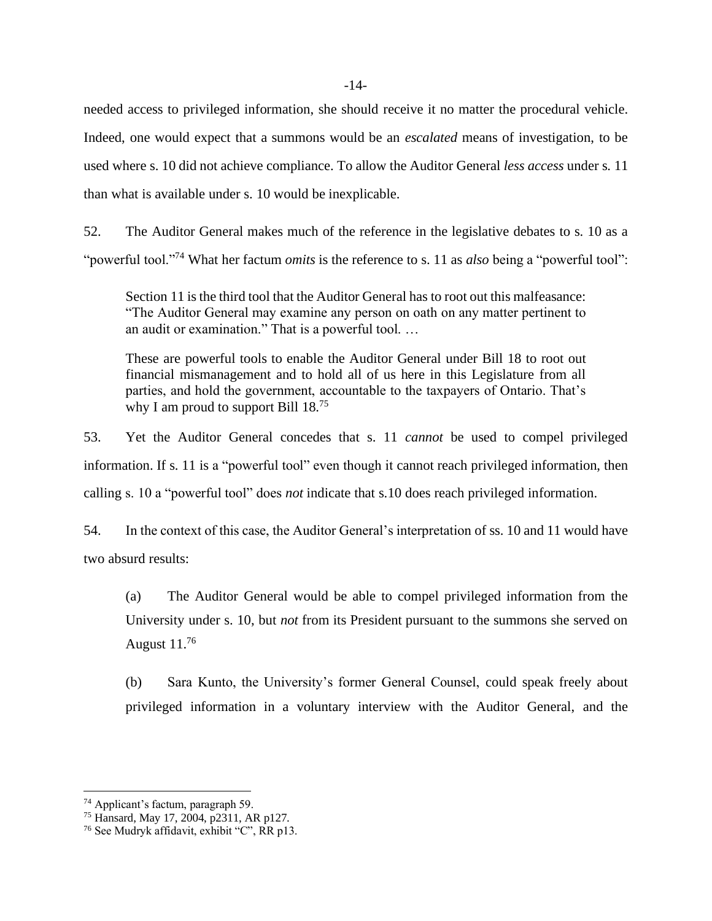needed access to privileged information, she should receive it no matter the procedural vehicle. Indeed, one would expect that a summons would be an *escalated* means of investigation, to be used where s. 10 did not achieve compliance. To allow the Auditor General *less access* under s. 11 than what is available under s. 10 would be inexplicable.

52. The Auditor General makes much of the reference in the legislative debates to s. 10 as a "powerful tool."<sup>74</sup> What her factum *omits* is the reference to s. 11 as *also* being a "powerful tool":

Section 11 is the third tool that the Auditor General has to root out this malfeasance: "The Auditor General may examine any person on oath on any matter pertinent to an audit or examination." That is a powerful tool. …

These are powerful tools to enable the Auditor General under Bill 18 to root out financial mismanagement and to hold all of us here in this Legislature from all parties, and hold the government, accountable to the taxpayers of Ontario. That's why I am proud to support Bill  $18^{75}$ 

53. Yet the Auditor General concedes that s. 11 *cannot* be used to compel privileged information. If s. 11 is a "powerful tool" even though it cannot reach privileged information, then calling s. 10 a "powerful tool" does *not* indicate that s.10 does reach privileged information.

54. In the context of this case, the Auditor General's interpretation of ss. 10 and 11 would have two absurd results:

(a) The Auditor General would be able to compel privileged information from the University under s. 10, but *not* from its President pursuant to the summons she served on August  $11^{76}$ 

(b) Sara Kunto, the University's former General Counsel, could speak freely about privileged information in a voluntary interview with the Auditor General, and the

<sup>74</sup> Applicant's factum, paragraph 59.

<sup>75</sup> Hansard, May 17, 2004, p2311, AR p127.

<sup>76</sup> See Mudryk affidavit, exhibit "C", RR p13.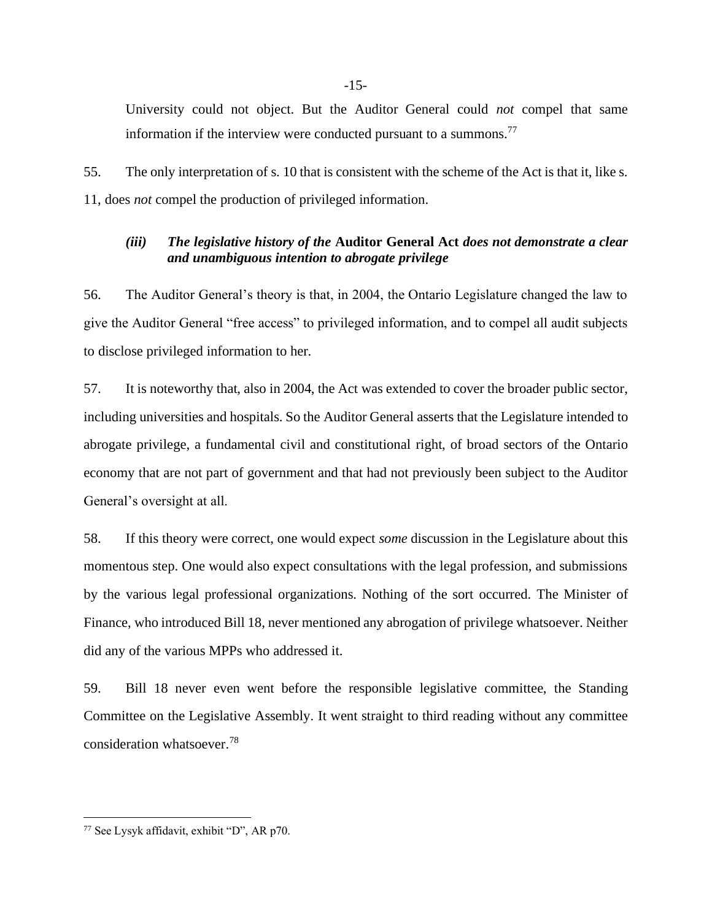University could not object. But the Auditor General could *not* compel that same information if the interview were conducted pursuant to a summons.<sup>77</sup>

55. The only interpretation of s. 10 that is consistent with the scheme of the Act is that it, like s. 11, does *not* compel the production of privileged information.

#### *(iii) The legislative history of the* **Auditor General Act** *does not demonstrate a clear and unambiguous intention to abrogate privilege*

56. The Auditor General's theory is that, in 2004, the Ontario Legislature changed the law to give the Auditor General "free access" to privileged information, and to compel all audit subjects to disclose privileged information to her.

57. It is noteworthy that, also in 2004, the Act was extended to cover the broader public sector, including universities and hospitals. So the Auditor General asserts that the Legislature intended to abrogate privilege, a fundamental civil and constitutional right, of broad sectors of the Ontario economy that are not part of government and that had not previously been subject to the Auditor General's oversight at all.

58. If this theory were correct, one would expect *some* discussion in the Legislature about this momentous step. One would also expect consultations with the legal profession, and submissions by the various legal professional organizations. Nothing of the sort occurred. The Minister of Finance, who introduced Bill 18, never mentioned any abrogation of privilege whatsoever. Neither did any of the various MPPs who addressed it.

59. Bill 18 never even went before the responsible legislative committee, the Standing Committee on the Legislative Assembly. It went straight to third reading without any committee consideration whatsoever.<sup>78</sup>

<sup>77</sup> See Lysyk affidavit, exhibit "D", AR p70.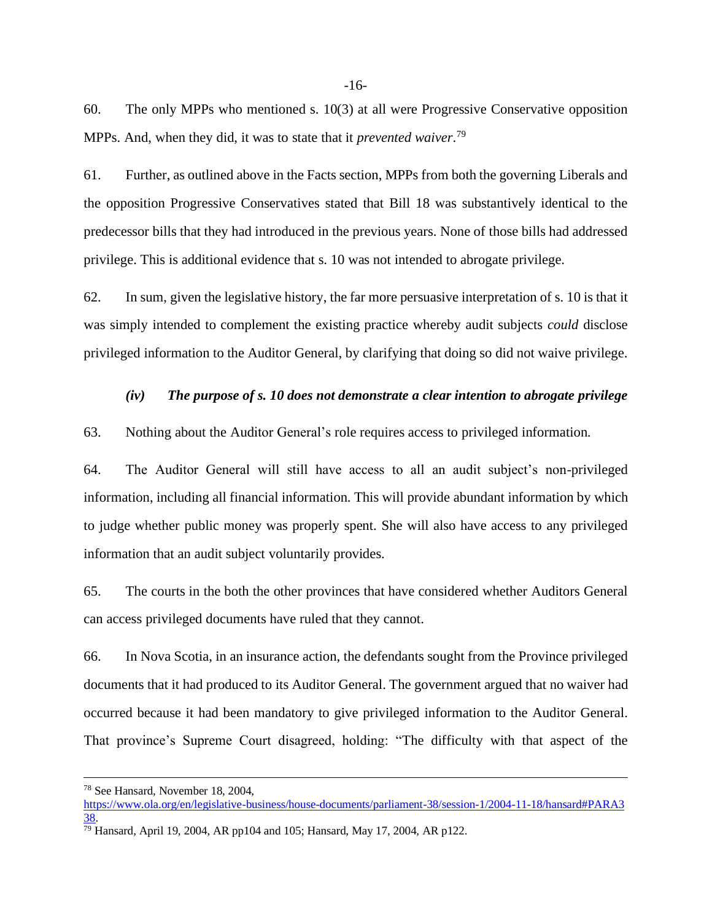60. The only MPPs who mentioned s. 10(3) at all were Progressive Conservative opposition MPPs. And, when they did, it was to state that it *prevented waiver*. 79

61. Further, as outlined above in the Facts section, MPPs from both the governing Liberals and the opposition Progressive Conservatives stated that Bill 18 was substantively identical to the predecessor bills that they had introduced in the previous years. None of those bills had addressed privilege. This is additional evidence that s. 10 was not intended to abrogate privilege.

62. In sum, given the legislative history, the far more persuasive interpretation of s. 10 is that it was simply intended to complement the existing practice whereby audit subjects *could* disclose privileged information to the Auditor General, by clarifying that doing so did not waive privilege.

#### *(iv) The purpose of s. 10 does not demonstrate a clear intention to abrogate privilege*

#### 63. Nothing about the Auditor General's role requires access to privileged information.

64. The Auditor General will still have access to all an audit subject's non-privileged information, including all financial information. This will provide abundant information by which to judge whether public money was properly spent. She will also have access to any privileged information that an audit subject voluntarily provides.

65. The courts in the both the other provinces that have considered whether Auditors General can access privileged documents have ruled that they cannot.

66. In Nova Scotia, in an insurance action, the defendants sought from the Province privileged documents that it had produced to its Auditor General. The government argued that no waiver had occurred because it had been mandatory to give privileged information to the Auditor General. That province's Supreme Court disagreed, holding: "The difficulty with that aspect of the

<sup>78</sup> See Hansard, November 18, 2004,

[https://www.ola.org/en/legislative-business/house-documents/parliament-38/session-1/2004-11-18/hansard#PARA3](https://www.ola.org/en/legislative-business/house-documents/parliament-38/session-1/2004-11-18/hansard#PARA338) [38.](https://www.ola.org/en/legislative-business/house-documents/parliament-38/session-1/2004-11-18/hansard#PARA338)

 $\frac{79}{79}$  Hansard, April 19, 2004, AR pp104 and 105; Hansard, May 17, 2004, AR p122.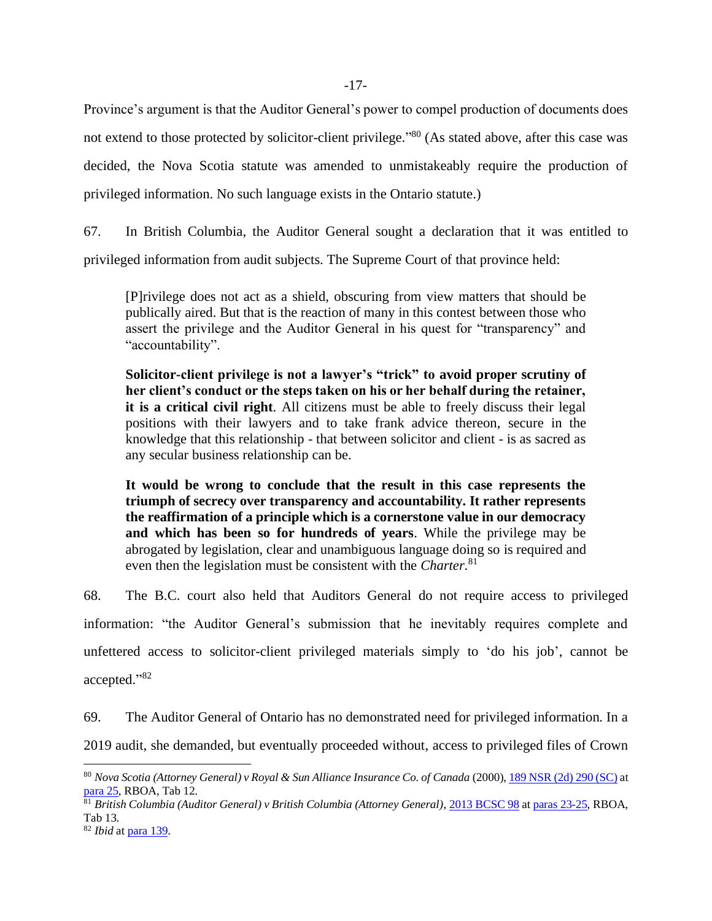Province's argument is that the Auditor General's power to compel production of documents does not extend to those protected by solicitor-client privilege."<sup>80</sup> (As stated above, after this case was decided, the Nova Scotia statute was amended to unmistakeably require the production of privileged information. No such language exists in the Ontario statute.)

67. In British Columbia, the Auditor General sought a declaration that it was entitled to privileged information from audit subjects. The Supreme Court of that province held:

[P]rivilege does not act as a shield, obscuring from view matters that should be publically aired. But that is the reaction of many in this contest between those who assert the privilege and the Auditor General in his quest for "transparency" and "accountability".

**Solicitor-client privilege is not a lawyer's "trick" to avoid proper scrutiny of her client's conduct or the steps taken on his or her behalf during the retainer, it is a critical civil right**. All citizens must be able to freely discuss their legal positions with their lawyers and to take frank advice thereon, secure in the knowledge that this relationship - that between solicitor and client - is as sacred as any secular business relationship can be.

**It would be wrong to conclude that the result in this case represents the triumph of secrecy over transparency and accountability. It rather represents the reaffirmation of a principle which is a cornerstone value in our democracy and which has been so for hundreds of years**. While the privilege may be abrogated by legislation, clear and unambiguous language doing so is required and even then the legislation must be consistent with the *Charter*. 81

68. The B.C. court also held that Auditors General do not require access to privileged information: "the Auditor General's submission that he inevitably requires complete and unfettered access to solicitor-client privileged materials simply to 'do his job', cannot be accepted." 82

69. The Auditor General of Ontario has no demonstrated need for privileged information. In a 2019 audit, she demanded, but eventually proceeded without, access to privileged files of Crown

<sup>80</sup> *Nova Scotia (Attorney General) v Royal & Sun Alliance Insurance Co. of Canada* (2000)[, 189 NSR \(2d\) 290 \(SC\)](https://www.canlii.org/en/ns/nssc/doc/2000/2000canlii1080/2000canlii1080.html?autocompleteStr=Nova%20Scotia%20(Attorney%20General)%20v%20Royal%20%26%20Sun%20Alliance%20Insurance%20Co.%20of%20Canada%20(2000)%20189&autocompletePos=1) at [para 25,](https://canlii.ca/t/1f1gz#par25) RBOA, Tab 12.

<sup>81</sup> *British Columbia (Auditor General) v British Columbia (Attorney General)*[, 2013 BCSC 98](https://www.canlii.org/en/bc/bcsc/doc/2013/2013bcsc98/2013bcsc98.html?resultIndex=1) a[t paras 23-25,](https://canlii.ca/t/fvttt#par23) RBOA, Tab 13.

<sup>82</sup> *Ibid* a[t para 139.](https://canlii.ca/t/fvttt#par139)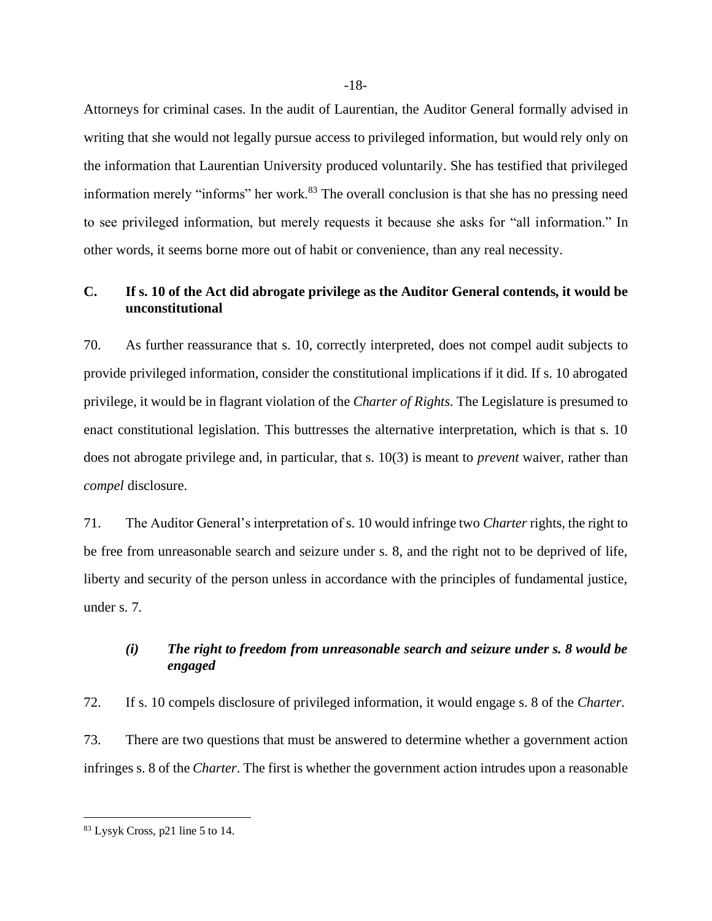Attorneys for criminal cases. In the audit of Laurentian, the Auditor General formally advised in writing that she would not legally pursue access to privileged information, but would rely only on the information that Laurentian University produced voluntarily. She has testified that privileged information merely "informs" her work.<sup>83</sup> The overall conclusion is that she has no pressing need to see privileged information, but merely requests it because she asks for "all information." In other words, it seems borne more out of habit or convenience, than any real necessity.

## <span id="page-20-0"></span>**C. If s. 10 of the Act did abrogate privilege as the Auditor General contends, it would be unconstitutional**

70. As further reassurance that s. 10, correctly interpreted, does not compel audit subjects to provide privileged information, consider the constitutional implications if it did. If s. 10 abrogated privilege, it would be in flagrant violation of the *Charter of Rights*. The Legislature is presumed to enact constitutional legislation. This buttresses the alternative interpretation, which is that s. 10 does not abrogate privilege and, in particular, that s. 10(3) is meant to *prevent* waiver, rather than *compel* disclosure.

71. The Auditor General's interpretation of s. 10 would infringe two *Charter* rights, the right to be free from unreasonable search and seizure under s. 8, and the right not to be deprived of life, liberty and security of the person unless in accordance with the principles of fundamental justice, under s. 7.

## *(i) The right to freedom from unreasonable search and seizure under s. 8 would be engaged*

72. If s. 10 compels disclosure of privileged information, it would engage s. 8 of the *Charter*. 73. There are two questions that must be answered to determine whether a government action infringes s. 8 of the *Charter*. The first is whether the government action intrudes upon a reasonable

<sup>83</sup> Lysyk Cross, p21 line 5 to 14.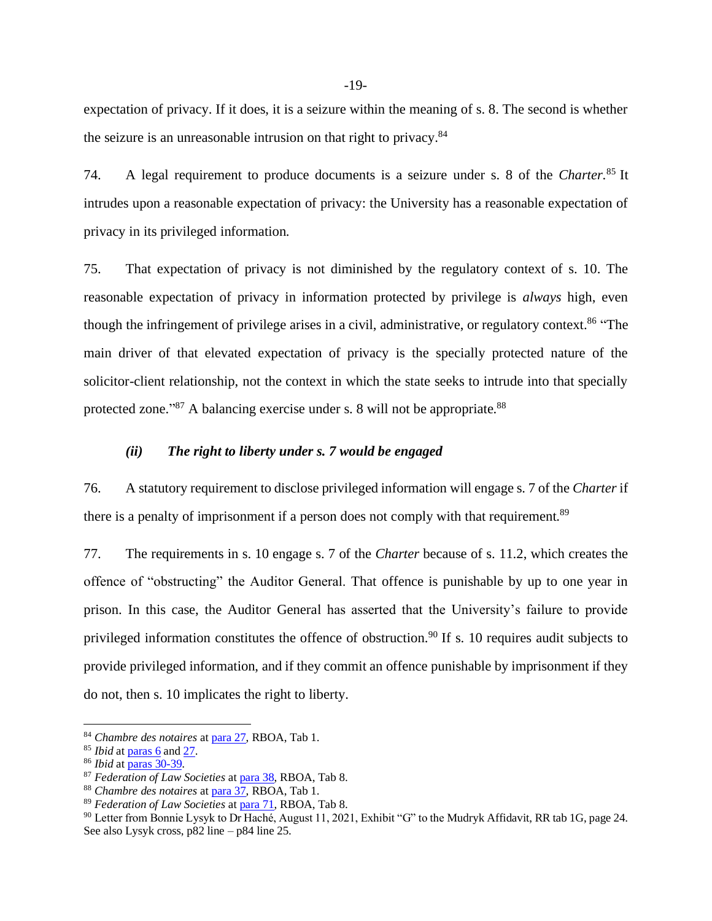expectation of privacy. If it does, it is a seizure within the meaning of s. 8. The second is whether the seizure is an unreasonable intrusion on that right to privacy.<sup>84</sup>

74. A legal requirement to produce documents is a seizure under s. 8 of the *Charter*. <sup>85</sup> It intrudes upon a reasonable expectation of privacy: the University has a reasonable expectation of privacy in its privileged information.

75. That expectation of privacy is not diminished by the regulatory context of s. 10. The reasonable expectation of privacy in information protected by privilege is *always* high, even though the infringement of privilege arises in a civil, administrative, or regulatory context.<sup>86</sup> "The main driver of that elevated expectation of privacy is the specially protected nature of the solicitor-client relationship, not the context in which the state seeks to intrude into that specially protected zone."<sup>87</sup> A balancing exercise under s. 8 will not be appropriate.<sup>88</sup>

#### *(ii) The right to liberty under s. 7 would be engaged*

76. A statutory requirement to disclose privileged information will engage s. 7 of the *Charter* if there is a penalty of imprisonment if a person does not comply with that requirement.<sup>89</sup>

77. The requirements in s. 10 engage s. 7 of the *Charter* because of s. 11.2, which creates the offence of "obstructing" the Auditor General. That offence is punishable by up to one year in prison. In this case, the Auditor General has asserted that the University's failure to provide privileged information constitutes the offence of obstruction.<sup>90</sup> If s. 10 requires audit subjects to provide privileged information, and if they commit an offence punishable by imprisonment if they do not, then s. 10 implicates the right to liberty.

<sup>84</sup> *Chambre des notaires* a[t para 27,](https://canlii.ca/t/grxb1#par27) RBOA, Tab 1.

<sup>85</sup> *Ibid* a[t paras](https://canlii.ca/t/grxb1#par6) 6 an[d 27.](https://canlii.ca/t/grxb1#par27)

<sup>86</sup> *Ibid* a[t paras 30-39.](https://canlii.ca/t/grxb1#par30)

<sup>87</sup> *Federation of Law Societies* a[t para 38,](https://canlii.ca/t/gg977#par38) RBOA, Tab 8.

<sup>88</sup> *Chambre des notaires* a[t para 37,](https://canlii.ca/t/grxb1#par37) RBOA, Tab 1.

<sup>89</sup> *Federation of Law Societies* a[t para 71,](https://canlii.ca/t/gg977#par71) RBOA, Tab 8.

<sup>&</sup>lt;sup>90</sup> Letter from Bonnie Lysyk to Dr Haché, August 11, 2021, Exhibit "G" to the Mudryk Affidavit, RR tab 1G, page 24. See also Lysyk cross, p82 line – p84 line 25.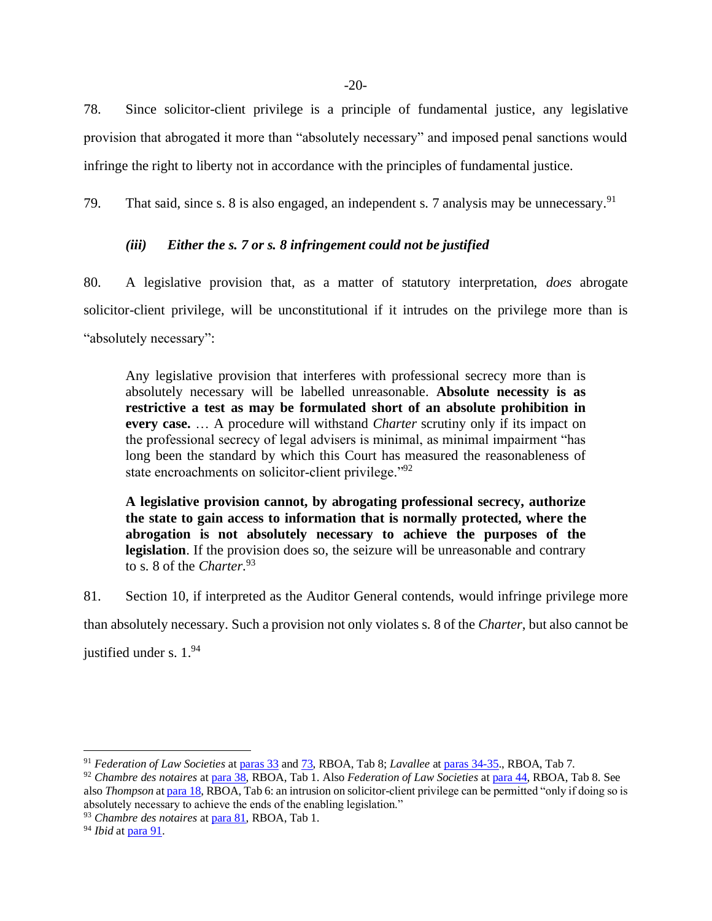78. Since solicitor-client privilege is a principle of fundamental justice, any legislative provision that abrogated it more than "absolutely necessary" and imposed penal sanctions would infringe the right to liberty not in accordance with the principles of fundamental justice.

79. That said, since s. 8 is also engaged, an independent s. 7 analysis may be unnecessary.<sup>91</sup>

## *(iii) Either the s. 7 or s. 8 infringement could not be justified*

80. A legislative provision that, as a matter of statutory interpretation, *does* abrogate solicitor-client privilege, will be unconstitutional if it intrudes on the privilege more than is "absolutely necessary":

Any legislative provision that interferes with professional secrecy more than is absolutely necessary will be labelled unreasonable. **Absolute necessity is as restrictive a test as may be formulated short of an absolute prohibition in every case.** … A procedure will withstand *Charter* scrutiny only if its impact on the professional secrecy of legal advisers is minimal, as minimal impairment "has long been the standard by which this Court has measured the reasonableness of state encroachments on solicitor-client privilege."<sup>92</sup>

**A legislative provision cannot, by abrogating professional secrecy, authorize the state to gain access to information that is normally protected, where the abrogation is not absolutely necessary to achieve the purposes of the legislation**. If the provision does so, the seizure will be unreasonable and contrary to s. 8 of the *Charter*. 93

81. Section 10, if interpreted as the Auditor General contends, would infringe privilege more

than absolutely necessary. Such a provision not only violates s. 8 of the *Charter*, but also cannot be

justified under s. 1.94

<sup>91</sup> *Federation of Law Societies* a[t paras](https://canlii.ca/t/gg977#par33) 33 an[d 73,](https://canlii.ca/t/gg977#par73) RBOA, Tab 8; *Lavallee* a[t paras 34-35.](https://www.canlii.org/en/ca/scc/doc/2002/2002scc61/2002scc61.html), RBOA, Tab 7.

<sup>92</sup> *Chambre des notaires* a[t para 38,](https://canlii.ca/t/grxb1#par38) RBOA, Tab 1. Also *Federation of Law Societies* a[t para 44,](https://canlii.ca/t/gg977#par44) RBOA, Tab 8. See also *Thompson* a[t para 18,](https://canlii.ca/t/grxb3#par18) RBOA, Tab 6: an intrusion on solicitor-client privilege can be permitted "only if doing so is absolutely necessary to achieve the ends of the enabling legislation."

<sup>93</sup> *Chambre des notaires* a[t para 81,](https://canlii.ca/t/grxb1#par81) RBOA, Tab 1.

<sup>94</sup> *Ibid* a[t para 91.](https://canlii.ca/t/grxb1#par91)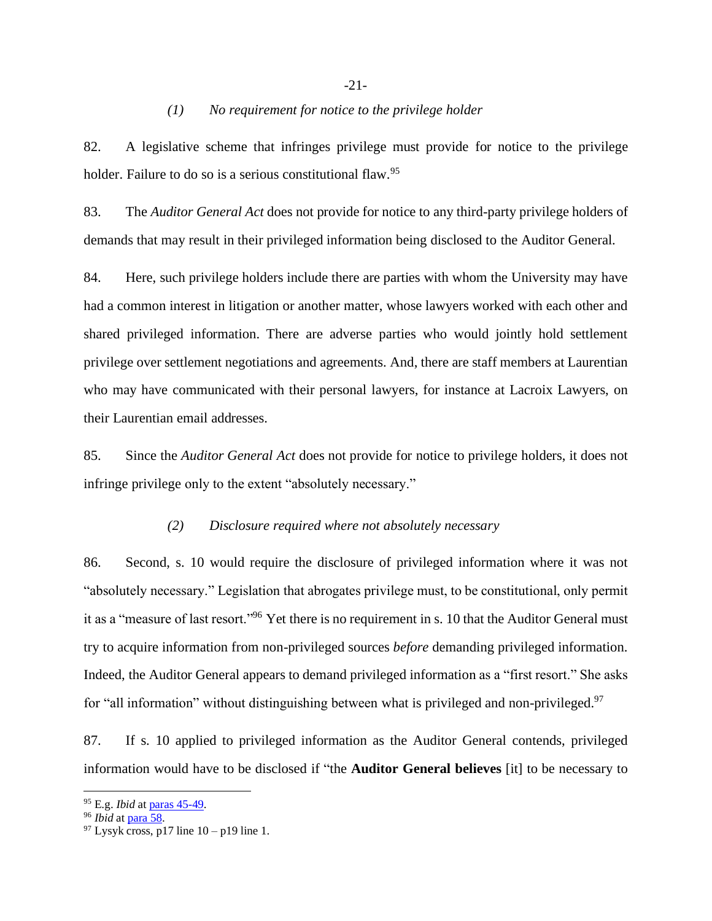#### *(1) No requirement for notice to the privilege holder*

82. A legislative scheme that infringes privilege must provide for notice to the privilege holder. Failure to do so is a serious constitutional flaw.<sup>95</sup>

83. The *Auditor General Act* does not provide for notice to any third-party privilege holders of demands that may result in their privileged information being disclosed to the Auditor General.

84. Here, such privilege holders include there are parties with whom the University may have had a common interest in litigation or another matter, whose lawyers worked with each other and shared privileged information. There are adverse parties who would jointly hold settlement privilege over settlement negotiations and agreements. And, there are staff members at Laurentian who may have communicated with their personal lawyers, for instance at Lacroix Lawyers, on their Laurentian email addresses.

85. Since the *Auditor General Act* does not provide for notice to privilege holders, it does not infringe privilege only to the extent "absolutely necessary."

#### *(2) Disclosure required where not absolutely necessary*

86. Second, s. 10 would require the disclosure of privileged information where it was not "absolutely necessary." Legislation that abrogates privilege must, to be constitutional, only permit it as a "measure of last resort."<sup>96</sup> Yet there is no requirement in s. 10 that the Auditor General must try to acquire information from non-privileged sources *before* demanding privileged information. Indeed, the Auditor General appears to demand privileged information as a "first resort." She asks for "all information" without distinguishing between what is privileged and non-privileged.<sup>97</sup>

87. If s. 10 applied to privileged information as the Auditor General contends, privileged information would have to be disclosed if "the **Auditor General believes** [it] to be necessary to

<sup>95</sup> E.g. *Ibid* at [paras 45-49.](https://canlii.ca/t/grxb1#par45)

<sup>96</sup> *Ibid* a[t para 58.](https://canlii.ca/t/grxb1#par58)

 $97$  Lysyk cross, p17 line 10 – p19 line 1.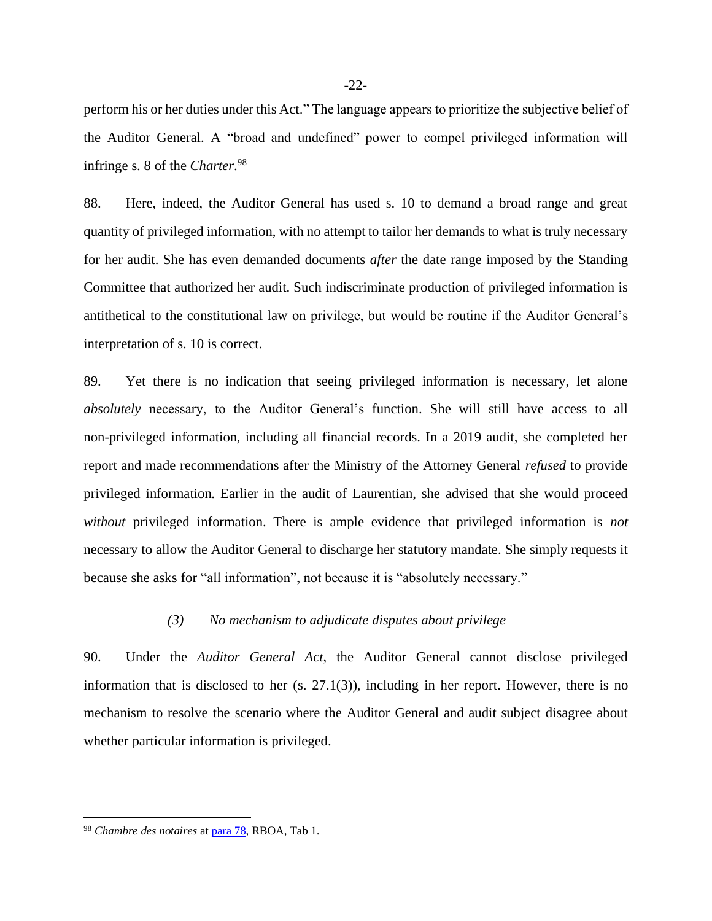perform his or her duties under this Act." The language appears to prioritize the subjective belief of the Auditor General. A "broad and undefined" power to compel privileged information will infringe s. 8 of the *Charter*. 98

88. Here, indeed, the Auditor General has used s. 10 to demand a broad range and great quantity of privileged information, with no attempt to tailor her demands to what is truly necessary for her audit. She has even demanded documents *after* the date range imposed by the Standing Committee that authorized her audit. Such indiscriminate production of privileged information is antithetical to the constitutional law on privilege, but would be routine if the Auditor General's interpretation of s. 10 is correct.

89. Yet there is no indication that seeing privileged information is necessary, let alone *absolutely* necessary, to the Auditor General's function. She will still have access to all non-privileged information, including all financial records. In a 2019 audit, she completed her report and made recommendations after the Ministry of the Attorney General *refused* to provide privileged information. Earlier in the audit of Laurentian, she advised that she would proceed *without* privileged information. There is ample evidence that privileged information is *not* necessary to allow the Auditor General to discharge her statutory mandate. She simply requests it because she asks for "all information", not because it is "absolutely necessary."

#### *(3) No mechanism to adjudicate disputes about privilege*

90. Under the *Auditor General Act*, the Auditor General cannot disclose privileged information that is disclosed to her  $(s, 27.1(3))$ , including in her report. However, there is no mechanism to resolve the scenario where the Auditor General and audit subject disagree about whether particular information is privileged.

<sup>98</sup> *Chambre des notaires* at [para 78,](https://canlii.ca/t/grxb1#par78) RBOA, Tab 1.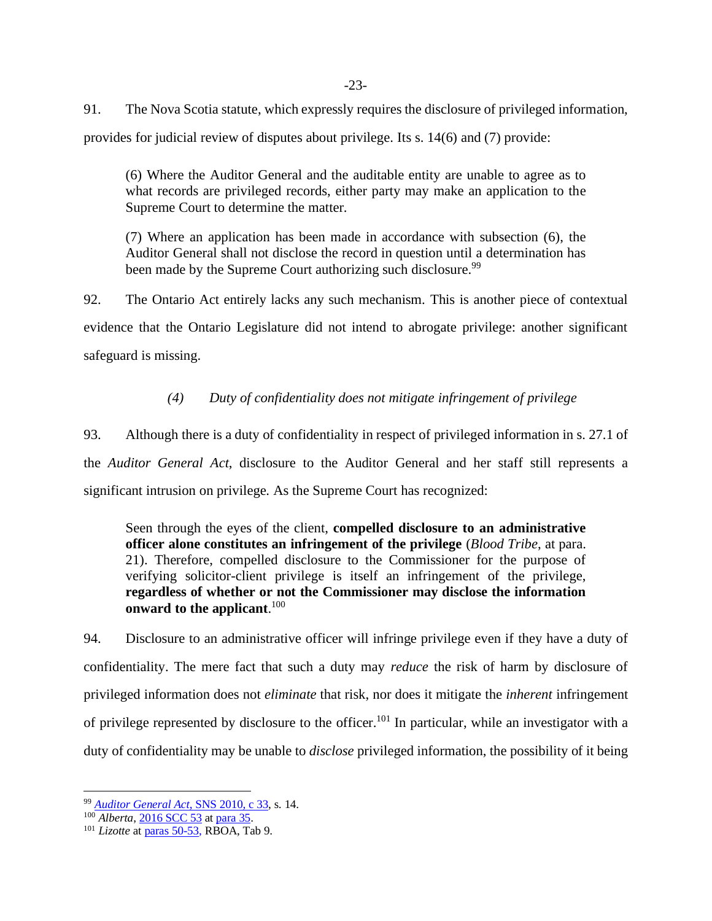91. The Nova Scotia statute, which expressly requires the disclosure of privileged information, provides for judicial review of disputes about privilege. Its s. 14(6) and (7) provide:

(6) Where the Auditor General and the auditable entity are unable to agree as to what records are privileged records, either party may make an application to the Supreme Court to determine the matter.

(7) Where an application has been made in accordance with subsection (6), the Auditor General shall not disclose the record in question until a determination has been made by the Supreme Court authorizing such disclosure.<sup>99</sup>

92. The Ontario Act entirely lacks any such mechanism. This is another piece of contextual evidence that the Ontario Legislature did not intend to abrogate privilege: another significant safeguard is missing.

## *(4) Duty of confidentiality does not mitigate infringement of privilege*

93. Although there is a duty of confidentiality in respect of privileged information in s. 27.1 of the *Auditor General Act*, disclosure to the Auditor General and her staff still represents a significant intrusion on privilege. As the Supreme Court has recognized:

Seen through the eyes of the client, **compelled disclosure to an administrative officer alone constitutes an infringement of the privilege** (*Blood Tribe*, at para. 21). Therefore, compelled disclosure to the Commissioner for the purpose of verifying solicitor-client privilege is itself an infringement of the privilege, **regardless of whether or not the Commissioner may disclose the information onward to the applicant**. 100

94. Disclosure to an administrative officer will infringe privilege even if they have a duty of confidentiality. The mere fact that such a duty may *reduce* the risk of harm by disclosure of privileged information does not *eliminate* that risk, nor does it mitigate the *inherent* infringement of privilege represented by disclosure to the officer.<sup>101</sup> In particular, while an investigator with a duty of confidentiality may be unable to *disclose* privileged information, the possibility of it being

<sup>99</sup> *[Auditor General Act](https://canlii.ca/t/52tpj)*, SNS 2010, c 33, s. 14.

<sup>100</sup> *Alberta*[, 2016 SCC 53](https://www.canlii.org/en/ca/scc/doc/2016/2016scc53/2016scc53.html) a[t para 35.](https://canlii.ca/t/gvskr#par35)

<sup>101</sup> *Lizotte* a[t paras 50-53,](https://canlii.ca/t/gvskp#par50) RBOA, Tab 9.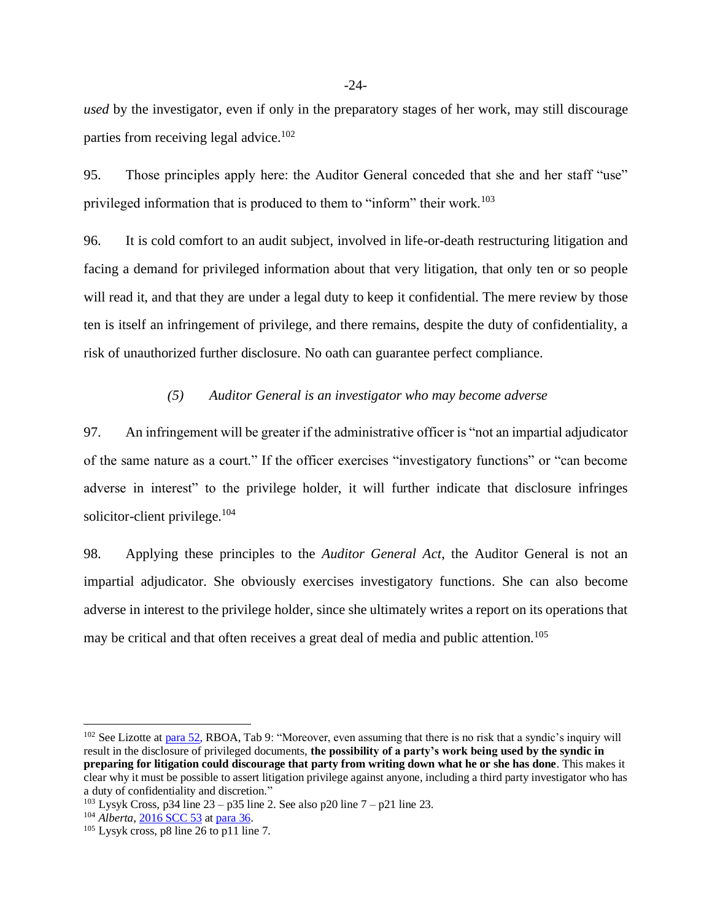*used* by the investigator, even if only in the preparatory stages of her work, may still discourage parties from receiving legal advice.<sup>102</sup>

95. Those principles apply here: the Auditor General conceded that she and her staff "use" privileged information that is produced to them to "inform" their work.<sup>103</sup>

96. It is cold comfort to an audit subject, involved in life-or-death restructuring litigation and facing a demand for privileged information about that very litigation, that only ten or so people will read it, and that they are under a legal duty to keep it confidential. The mere review by those ten is itself an infringement of privilege, and there remains, despite the duty of confidentiality, a risk of unauthorized further disclosure. No oath can guarantee perfect compliance.

#### *(5) Auditor General is an investigator who may become adverse*

97. An infringement will be greater if the administrative officer is "not an impartial adjudicator of the same nature as a court." If the officer exercises "investigatory functions" or "can become adverse in interest" to the privilege holder, it will further indicate that disclosure infringes solicitor-client privilege. $104$ 

98. Applying these principles to the *Auditor General Act*, the Auditor General is not an impartial adjudicator. She obviously exercises investigatory functions. She can also become adverse in interest to the privilege holder, since she ultimately writes a report on its operations that may be critical and that often receives a great deal of media and public attention.<sup>105</sup>

 $102$  See Lizotte a[t para 52,](https://canlii.ca/t/gvskp#par52) RBOA, Tab 9: "Moreover, even assuming that there is no risk that a syndic's inquiry will result in the disclosure of privileged documents, **the possibility of a party's work being used by the syndic in preparing for litigation could discourage that party from writing down what he or she has done**. This makes it clear why it must be possible to assert litigation privilege against anyone, including a third party investigator who has a duty of confidentiality and discretion."

<sup>&</sup>lt;sup>103</sup> Lysyk Cross, p34 line  $23 - p35$  line 2. See also p20 line  $7 - p21$  line 23.

<sup>&</sup>lt;sup>104</sup> *Alberta*, **2016 SCC 53** a[t para 36.](https://canlii.ca/t/gvskr#par36)

 $105$  Lysyk cross, p8 line 26 to p11 line 7.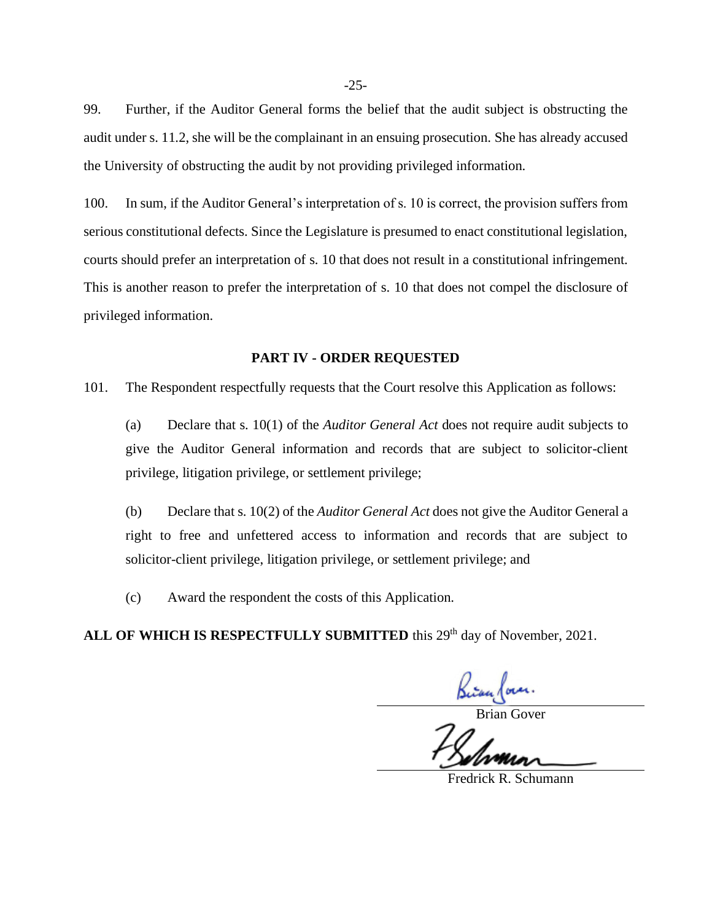99. Further, if the Auditor General forms the belief that the audit subject is obstructing the audit under s. 11.2, she will be the complainant in an ensuing prosecution. She has already accused the University of obstructing the audit by not providing privileged information.

100. In sum, if the Auditor General's interpretation of s. 10 is correct, the provision suffers from serious constitutional defects. Since the Legislature is presumed to enact constitutional legislation, courts should prefer an interpretation of s. 10 that does not result in a constitutional infringement. This is another reason to prefer the interpretation of s. 10 that does not compel the disclosure of privileged information.

#### **PART IV - ORDER REQUESTED**

<span id="page-27-0"></span>101. The Respondent respectfully requests that the Court resolve this Application as follows:

(a) Declare that s. 10(1) of the *Auditor General Act* does not require audit subjects to give the Auditor General information and records that are subject to solicitor-client privilege, litigation privilege, or settlement privilege;

(b) Declare that s. 10(2) of the *Auditor General Act* does not give the Auditor General a right to free and unfettered access to information and records that are subject to solicitor-client privilege, litigation privilege, or settlement privilege; and

(c) Award the respondent the costs of this Application.

ALL OF WHICH IS RESPECTFULLY SUBMITTED this 29<sup>th</sup> day of November, 2021.

Brian Cover.<br>Brian Gover

Fredrick R. Schumann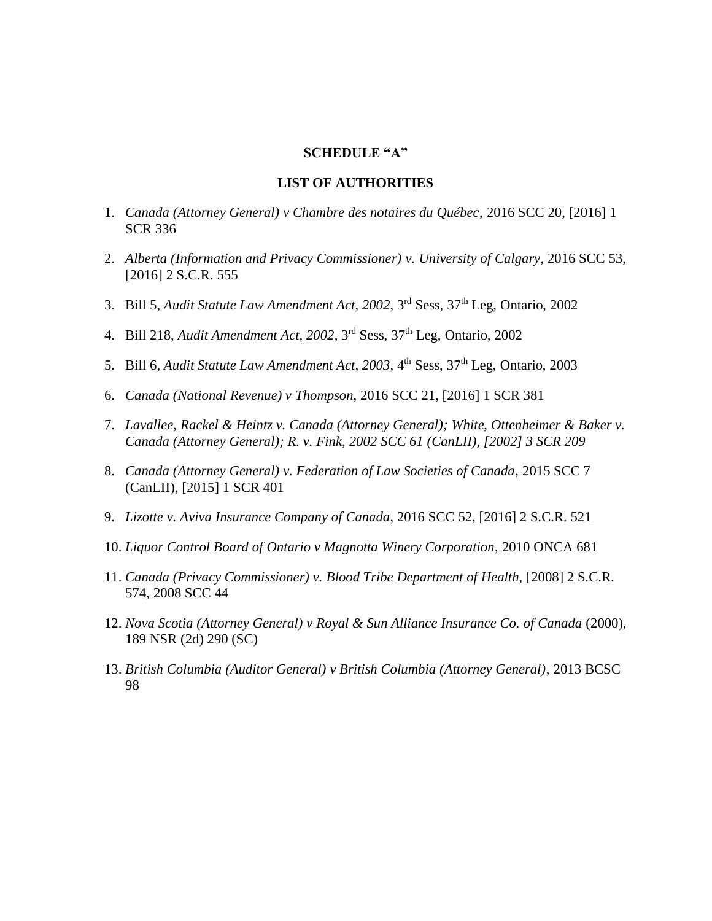## **SCHEDULE "A"**

#### **LIST OF AUTHORITIES**

- 1. *Canada (Attorney General) v Chambre des notaires du Québec*, 2016 SCC 20, [2016] 1 SCR 336
- 2. *Alberta (Information and Privacy Commissioner) v. University of Calgary*, 2016 SCC 53, [2016] 2 S.C.R. 555
- 3. Bill 5, *Audit Statute Law Amendment Act, 2002*, 3rd Sess, 37th Leg, Ontario, 2002
- 4. Bill 218, *Audit Amendment Act, 2002*, 3rd Sess, 37th Leg, Ontario, 2002
- 5. Bill 6, *Audit Statute Law Amendment Act, 2003*, 4<sup>th</sup> Sess, 37<sup>th</sup> Leg, Ontario, 2003
- 6. *Canada (National Revenue) v Thompson*, 2016 SCC 21, [2016] 1 SCR 381
- 7. *Lavallee, Rackel & Heintz v. Canada (Attorney General); White, Ottenheimer & Baker v. Canada (Attorney General); R. v. Fink, 2002 SCC 61 (CanLII), [2002] 3 SCR 209*
- 8. *Canada (Attorney General) v. Federation of Law Societies of Canada*, 2015 SCC 7 (CanLII), [2015] 1 SCR 401
- 9. *Lizotte v. Aviva Insurance Company of Canada*, 2016 SCC 52, [2016] 2 S.C.R. 521
- 10. *Liquor Control Board of Ontario v Magnotta Winery Corporation*, 2010 ONCA 681
- 11. *Canada (Privacy Commissioner) v. Blood Tribe Department of Health,* [2008] 2 S.C.R. 574, 2008 SCC 44
- 12. *Nova Scotia (Attorney General) v Royal & Sun Alliance Insurance Co. of Canada* (2000), 189 NSR (2d) 290 (SC)
- 13. *British Columbia (Auditor General) v British Columbia (Attorney General)*, 2013 BCSC 98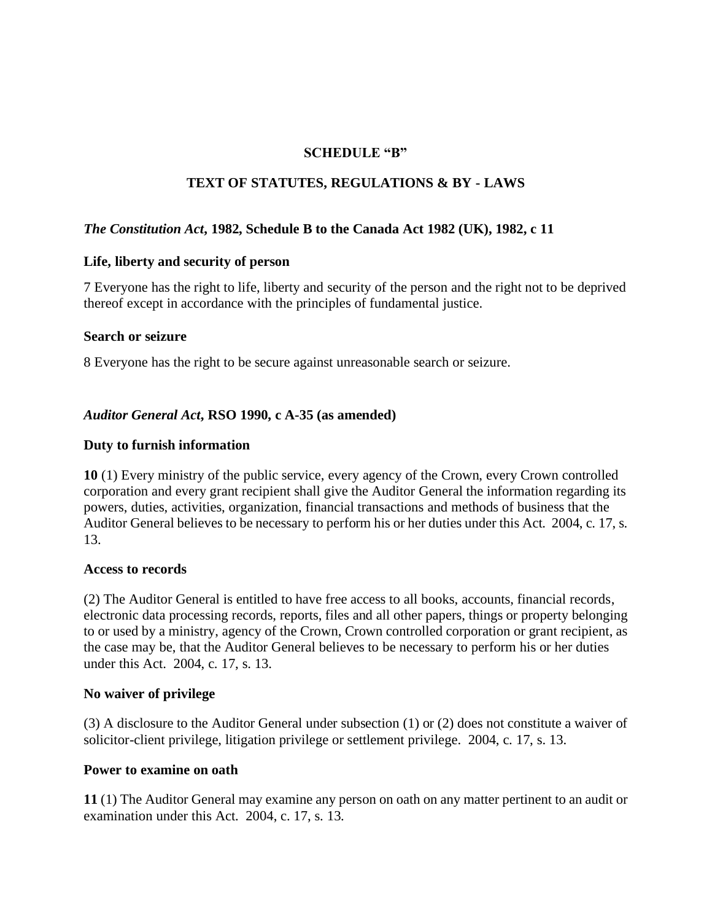## **SCHEDULE "B"**

## **TEXT OF STATUTES, REGULATIONS & BY - LAWS**

### *The Constitution Act***, 1982, Schedule B to the Canada Act 1982 (UK), 1982, c 11**

#### **Life, liberty and security of person**

7 Everyone has the right to life, liberty and security of the person and the right not to be deprived thereof except in accordance with the principles of fundamental justice.

#### **Search or seizure**

8 Everyone has the right to be secure against unreasonable search or seizure.

#### *Auditor General Act***, RSO 1990, c A-35 (as amended)**

#### **Duty to furnish information**

**10** (1) Every ministry of the public service, every agency of the Crown, every Crown controlled corporation and every grant recipient shall give the Auditor General the information regarding its powers, duties, activities, organization, financial transactions and methods of business that the Auditor General believes to be necessary to perform his or her duties under this Act. 2004, c. 17, s. 13.

#### **Access to records**

(2) The Auditor General is entitled to have free access to all books, accounts, financial records, electronic data processing records, reports, files and all other papers, things or property belonging to or used by a ministry, agency of the Crown, Crown controlled corporation or grant recipient, as the case may be, that the Auditor General believes to be necessary to perform his or her duties under this Act. 2004, c. 17, s. 13.

#### **No waiver of privilege**

(3) A disclosure to the Auditor General under subsection (1) or (2) does not constitute a waiver of solicitor-client privilege, litigation privilege or settlement privilege. 2004, c. 17, s. 13.

#### **Power to examine on oath**

**11** (1) The Auditor General may examine any person on oath on any matter pertinent to an audit or examination under this Act. 2004, c. 17, s. 13.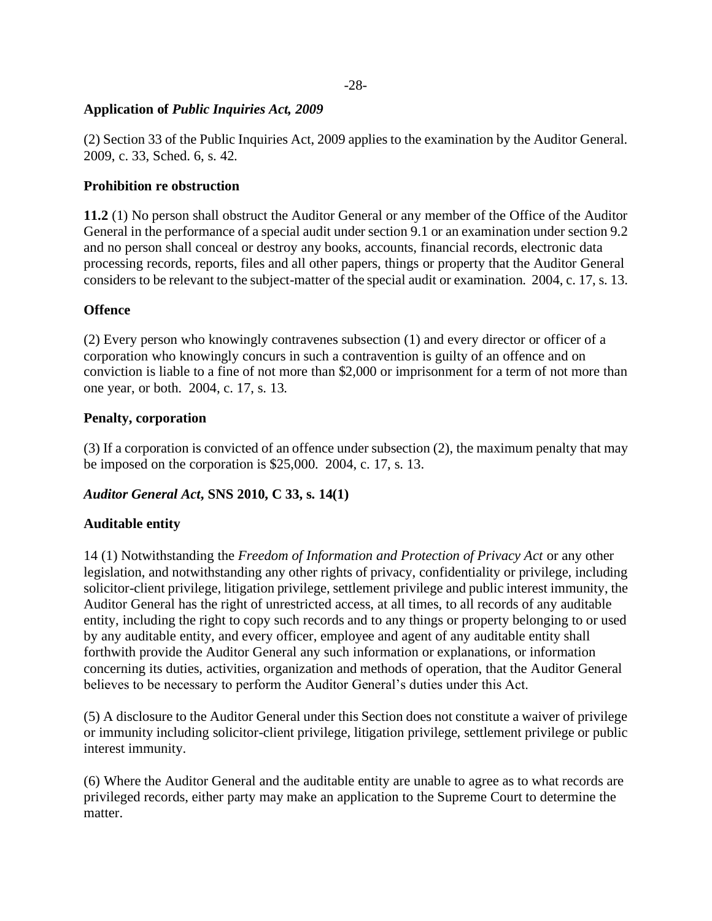## **Application of** *Public Inquiries Act, 2009*

(2) Section 33 of the Public Inquiries Act, 2009 applies to the examination by the Auditor General. 2009, c. 33, Sched. 6, s. 42.

## **Prohibition re obstruction**

**11.2** (1) No person shall obstruct the Auditor General or any member of the Office of the Auditor General in the performance of a special audit under section 9.1 or an examination under section 9.2 and no person shall conceal or destroy any books, accounts, financial records, electronic data processing records, reports, files and all other papers, things or property that the Auditor General considers to be relevant to the subject-matter of the special audit or examination. 2004, c. 17, s. 13.

## **Offence**

(2) Every person who knowingly contravenes subsection (1) and every director or officer of a corporation who knowingly concurs in such a contravention is guilty of an offence and on conviction is liable to a fine of not more than \$2,000 or imprisonment for a term of not more than one year, or both. 2004, c. 17, s. 13.

#### **Penalty, corporation**

(3) If a corporation is convicted of an offence under subsection (2), the maximum penalty that may be imposed on the corporation is \$25,000. 2004, c. 17, s. 13.

## *Auditor General Act***, SNS 2010, C 33, s. 14(1)**

#### **Auditable entity**

14 (1) Notwithstanding the *Freedom of Information and Protection of Privacy Act* or any other legislation, and notwithstanding any other rights of privacy, confidentiality or privilege, including solicitor-client privilege, litigation privilege, settlement privilege and public interest immunity, the Auditor General has the right of unrestricted access, at all times, to all records of any auditable entity, including the right to copy such records and to any things or property belonging to or used by any auditable entity, and every officer, employee and agent of any auditable entity shall forthwith provide the Auditor General any such information or explanations, or information concerning its duties, activities, organization and methods of operation, that the Auditor General believes to be necessary to perform the Auditor General's duties under this Act.

(5) A disclosure to the Auditor General under this Section does not constitute a waiver of privilege or immunity including solicitor-client privilege, litigation privilege, settlement privilege or public interest immunity.

(6) Where the Auditor General and the auditable entity are unable to agree as to what records are privileged records, either party may make an application to the Supreme Court to determine the matter.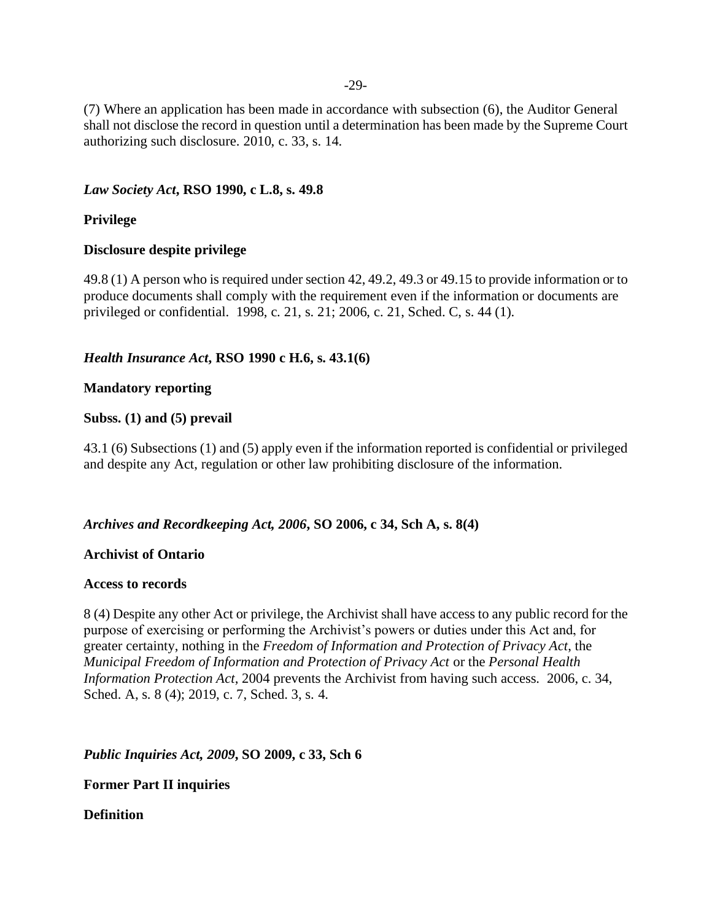-29-

(7) Where an application has been made in accordance with subsection (6), the Auditor General shall not disclose the record in question until a determination has been made by the Supreme Court authorizing such disclosure. 2010, c. 33, s. 14.

## *Law Society Act***, RSO 1990, c L.8, s. 49.8**

## **Privilege**

#### **Disclosure despite privilege**

49.8 (1) A person who is required under section 42, 49.2, 49.3 or 49.15 to provide information or to produce documents shall comply with the requirement even if the information or documents are privileged or confidential. 1998, c. 21, s. 21; 2006, c. 21, Sched. C, s. 44 (1).

## *Health Insurance Act***, RSO 1990 c H.6, s. 43.1(6)**

## **Mandatory reporting**

#### **Subss. (1) and (5) prevail**

43.1 (6) Subsections (1) and (5) apply even if the information reported is confidential or privileged and despite any Act, regulation or other law prohibiting disclosure of the information.

#### *Archives and Recordkeeping Act, 2006***, SO 2006, c 34, Sch A, s. 8(4)**

#### **Archivist of Ontario**

#### **Access to records**

8 (4) Despite any other Act or privilege, the Archivist shall have access to any public record for the purpose of exercising or performing the Archivist's powers or duties under this Act and, for greater certainty, nothing in the *Freedom of Information and Protection of Privacy Act*, the *Municipal Freedom of Information and Protection of Privacy Act* or the *Personal Health Information Protection Act*, 2004 prevents the Archivist from having such access. 2006, c. 34, Sched. A, s. 8 (4); 2019, c. 7, Sched. 3, s. 4.

*Public Inquiries Act, 2009, SO 2009, c 33, Sch 6* 

**Former Part II inquiries**

#### **Definition**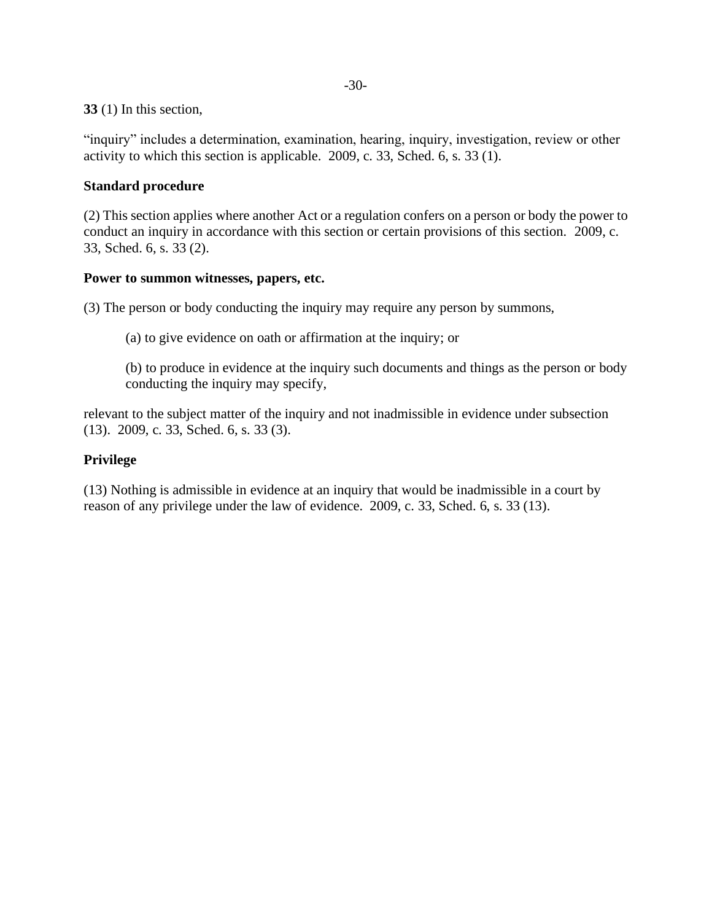#### **33** (1) In this section,

"inquiry" includes a determination, examination, hearing, inquiry, investigation, review or other activity to which this section is applicable. 2009, c. 33, Sched. 6, s. 33 (1).

## **Standard procedure**

(2) This section applies where another Act or a regulation confers on a person or body the power to conduct an inquiry in accordance with this section or certain provisions of this section. 2009, c. 33, Sched. 6, s. 33 (2).

## **Power to summon witnesses, papers, etc.**

(3) The person or body conducting the inquiry may require any person by summons,

(a) to give evidence on oath or affirmation at the inquiry; or

(b) to produce in evidence at the inquiry such documents and things as the person or body conducting the inquiry may specify,

relevant to the subject matter of the inquiry and not inadmissible in evidence under subsection (13). 2009, c. 33, Sched. 6, s. 33 (3).

## **Privilege**

(13) Nothing is admissible in evidence at an inquiry that would be inadmissible in a court by reason of any privilege under the law of evidence. 2009, c. 33, Sched. 6, s. 33 (13).